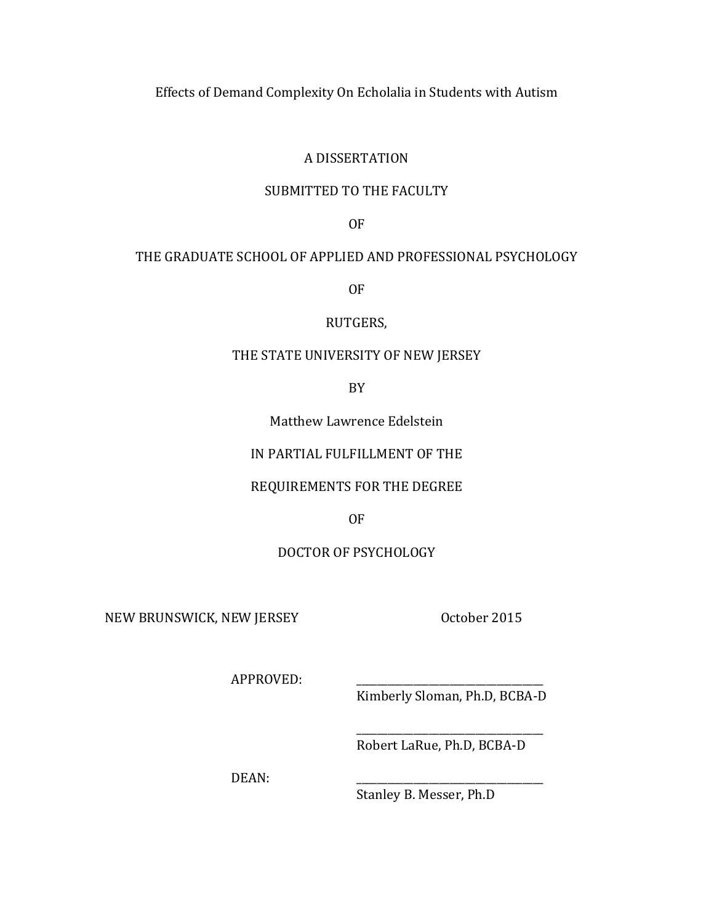Effects of Demand Complexity On Echolalia in Students with Autism

## A DISSERTATION

## SUBMITTED TO THE FACULTY

OF

## THE GRADUATE SCHOOL OF APPLIED AND PROFESSIONAL PSYCHOLOGY

OF

RUTGERS,

## THE STATE UNIVERSITY OF NEW JERSEY

BY

Matthew Lawrence Edelstein

## IN PARTIAL FULFILLMENT OF THE

## REQUIREMENTS FOR THE DEGREE

OF

## DOCTOR OF PSYCHOLOGY

NEW BRUNSWICK, NEW JERSEY October 2015

APPROVED:

Kimberly Sloman, Ph.D, BCBA-D

\_\_\_\_\_\_\_\_\_\_\_\_\_\_\_\_\_\_\_\_\_\_\_\_\_\_\_\_\_\_\_\_\_\_\_\_ Robert LaRue, Ph.D, BCBA-D

DEAN:

Stanley B. Messer, Ph.D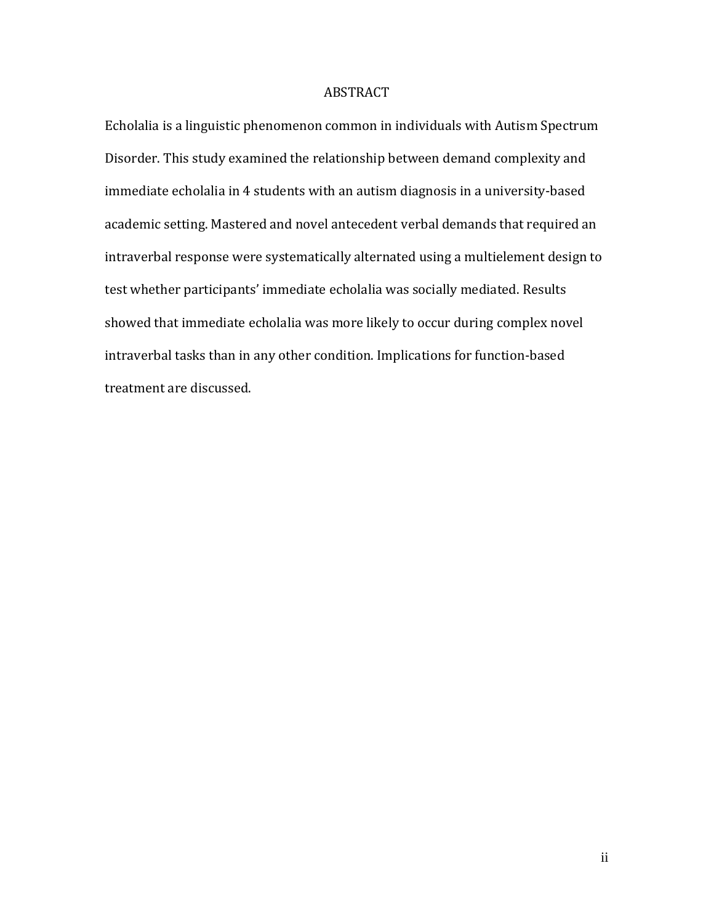### ABSTRACT

Echolalia is a linguistic phenomenon common in individuals with Autism Spectrum Disorder. This study examined the relationship between demand complexity and immediate echolalia in 4 students with an autism diagnosis in a university-based academic setting. Mastered and novel antecedent verbal demands that required an intraverbal response were systematically alternated using a multielement design to test whether participants' immediate echolalia was socially mediated. Results showed that immediate echolalia was more likely to occur during complex novel intraverbal tasks than in any other condition. Implications for function-based treatment are discussed.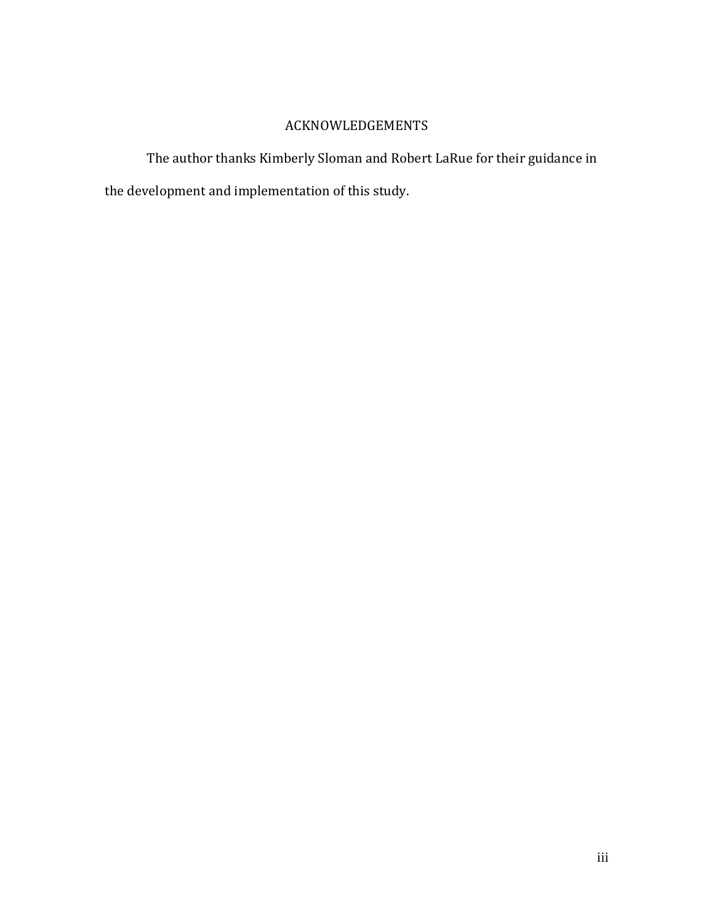# ACKNOWLEDGEMENTS

The author thanks Kimberly Sloman and Robert LaRue for their guidance in the development and implementation of this study.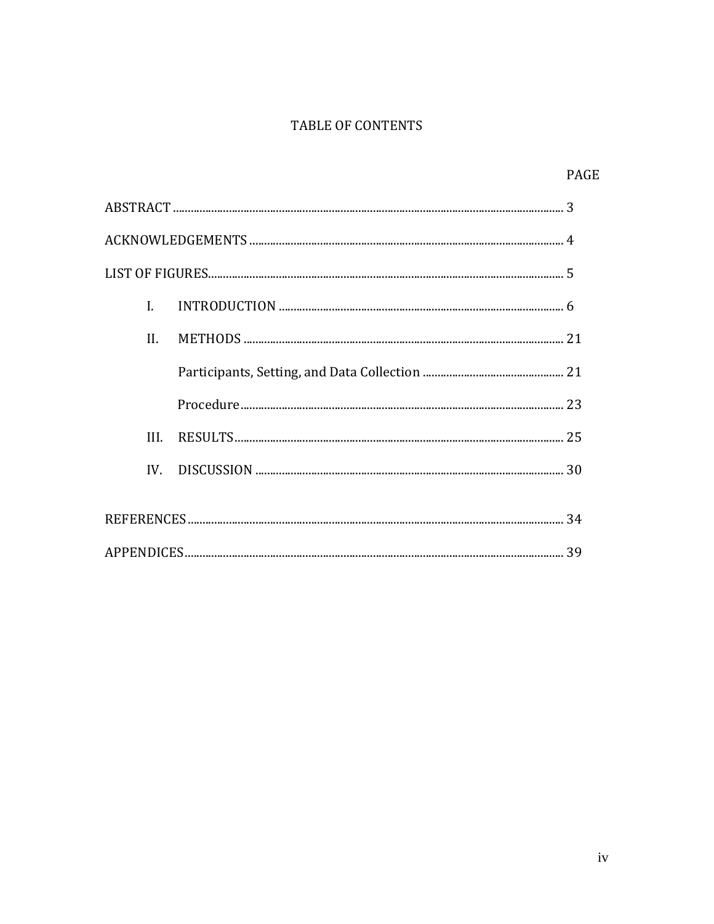## TABLE OF CONTENTS

|      | <b>PAGE</b> |
|------|-------------|
|      |             |
|      |             |
|      |             |
| L    |             |
| II.  |             |
|      |             |
|      |             |
| III. |             |
|      |             |
|      |             |
|      |             |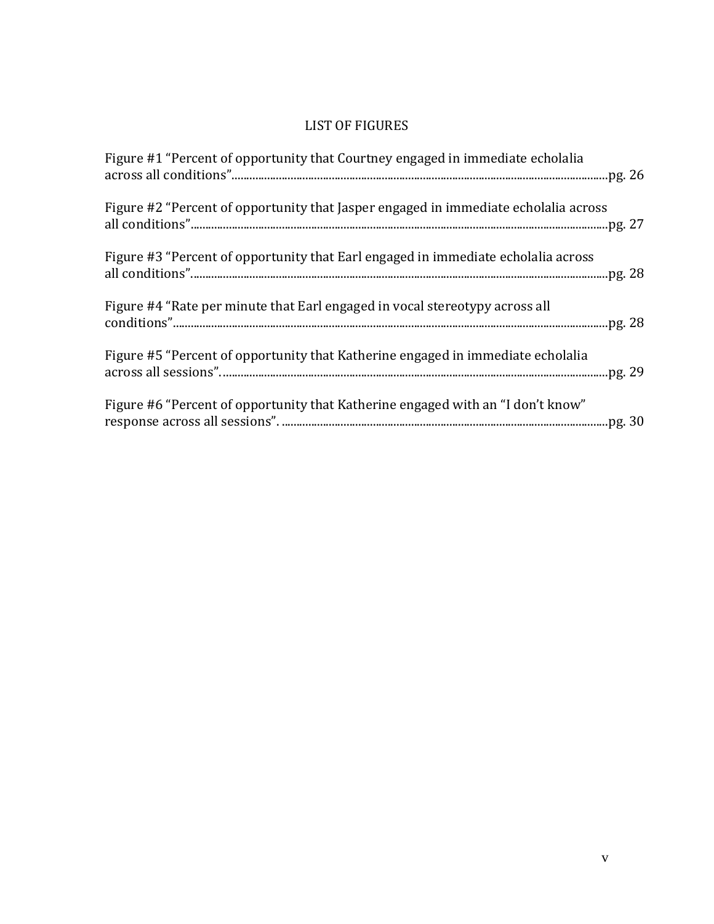# LIST OF FIGURES

| Figure #1 "Percent of opportunity that Courtney engaged in immediate echolalia      |
|-------------------------------------------------------------------------------------|
| Figure #2 "Percent of opportunity that Jasper engaged in immediate echolalia across |
| Figure #3 "Percent of opportunity that Earl engaged in immediate echolalia across   |
| Figure #4 "Rate per minute that Earl engaged in vocal stereotypy across all         |
| Figure #5 "Percent of opportunity that Katherine engaged in immediate echolalia     |
| Figure #6 "Percent of opportunity that Katherine engaged with an "I don't know"     |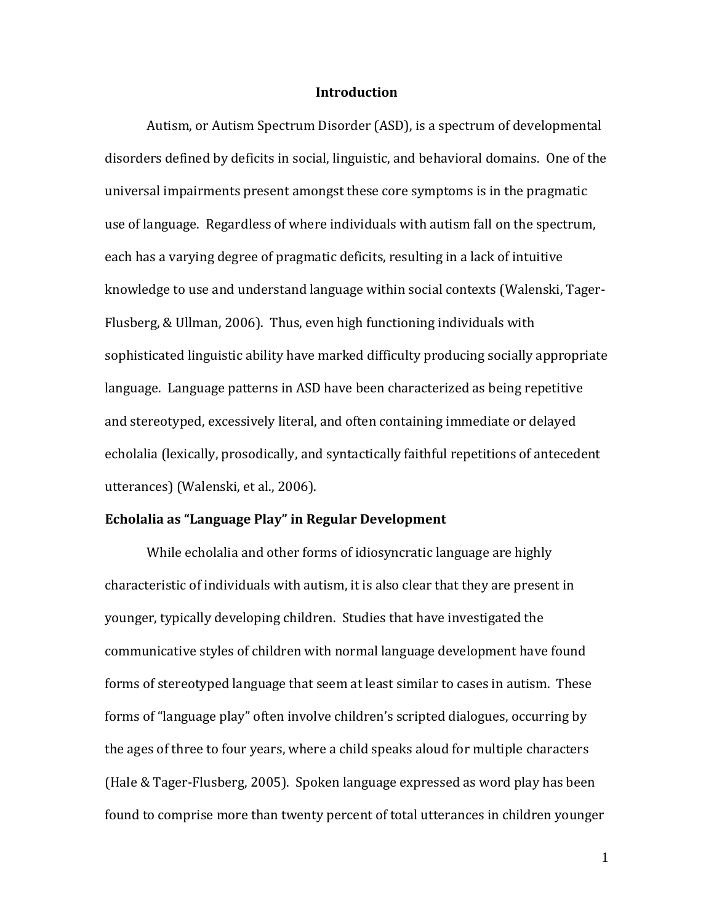#### **Introduction**

Autism, or Autism Spectrum Disorder (ASD), is a spectrum of developmental disorders defined by deficits in social, linguistic, and behavioral domains. One of the universal impairments present amongst these core symptoms is in the pragmatic use of language. Regardless of where individuals with autism fall on the spectrum, each has a varying degree of pragmatic deficits, resulting in a lack of intuitive knowledge to use and understand language within social contexts (Walenski, Tager-Flusberg, & Ullman, 2006). Thus, even high functioning individuals with sophisticated linguistic ability have marked difficulty producing socially appropriate language. Language patterns in ASD have been characterized as being repetitive and stereotyped, excessively literal, and often containing immediate or delayed echolalia (lexically, prosodically, and syntactically faithful repetitions of antecedent utterances) (Walenski, et al., 2006).

### **Echolalia as "Language Play" in Regular Development**

While echolalia and other forms of idiosyncratic language are highly characteristic of individuals with autism, it is also clear that they are present in younger, typically developing children. Studies that have investigated the communicative styles of children with normal language development have found forms of stereotyped language that seem at least similar to cases in autism. These forms of "language play" often involve children's scripted dialogues, occurring by the ages of three to four years, where a child speaks aloud for multiple characters (Hale & Tager-Flusberg, 2005). Spoken language expressed as word play has been found to comprise more than twenty percent of total utterances in children younger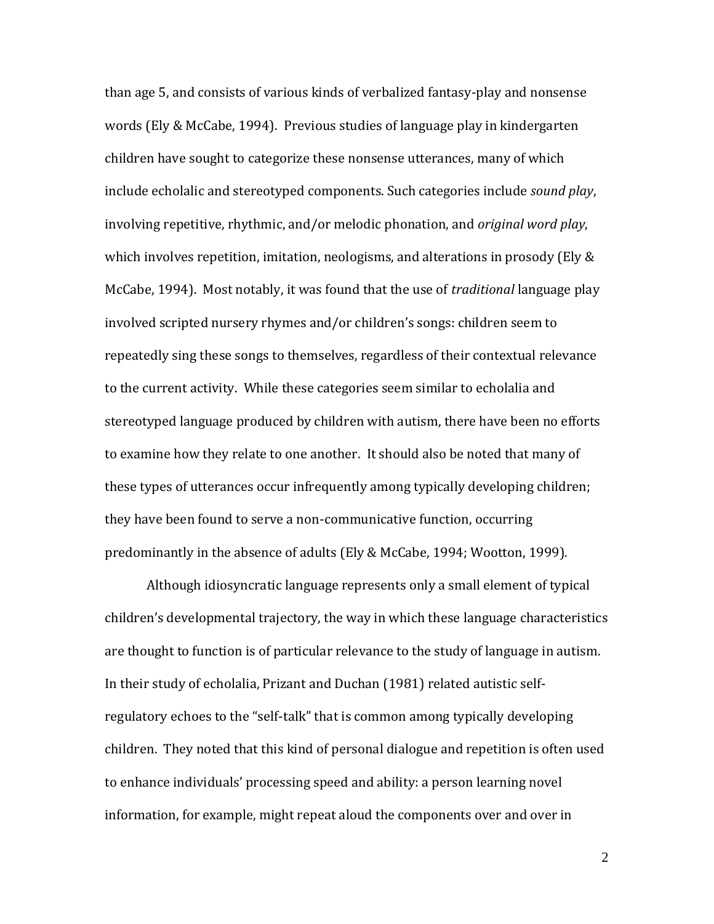than age 5, and consists of various kinds of verbalized fantasy-play and nonsense words (Ely & McCabe, 1994). Previous studies of language play in kindergarten children have sought to categorize these nonsense utterances, many of which include echolalic and stereotyped components. Such categories include *sound play*, involving repetitive, rhythmic, and/or melodic phonation, and *original word play*, which involves repetition, imitation, neologisms, and alterations in prosody (Ely & McCabe, 1994). Most notably, it was found that the use of *traditional* language play involved scripted nursery rhymes and/or children's songs: children seem to repeatedly sing these songs to themselves, regardless of their contextual relevance to the current activity. While these categories seem similar to echolalia and stereotyped language produced by children with autism, there have been no efforts to examine how they relate to one another. It should also be noted that many of these types of utterances occur infrequently among typically developing children; they have been found to serve a non-communicative function, occurring predominantly in the absence of adults (Ely & McCabe, 1994; Wootton, 1999).

Although idiosyncratic language represents only a small element of typical children's developmental trajectory, the way in which these language characteristics are thought to function is of particular relevance to the study of language in autism. In their study of echolalia, Prizant and Duchan (1981) related autistic selfregulatory echoes to the "self-talk" that is common among typically developing children. They noted that this kind of personal dialogue and repetition is often used to enhance individuals' processing speed and ability: a person learning novel information, for example, might repeat aloud the components over and over in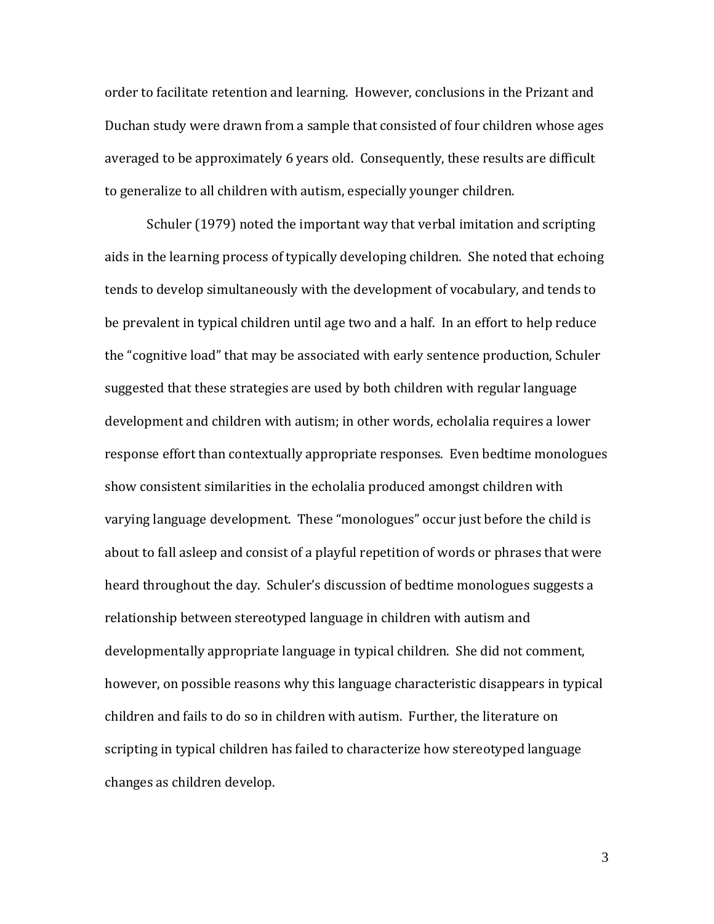order to facilitate retention and learning. However, conclusions in the Prizant and Duchan study were drawn from a sample that consisted of four children whose ages averaged to be approximately 6 years old. Consequently, these results are difficult to generalize to all children with autism, especially younger children.

Schuler (1979) noted the important way that verbal imitation and scripting aids in the learning process of typically developing children. She noted that echoing tends to develop simultaneously with the development of vocabulary, and tends to be prevalent in typical children until age two and a half. In an effort to help reduce the "cognitive load" that may be associated with early sentence production, Schuler suggested that these strategies are used by both children with regular language development and children with autism; in other words, echolalia requires a lower response effort than contextually appropriate responses. Even bedtime monologues show consistent similarities in the echolalia produced amongst children with varying language development. These "monologues" occur just before the child is about to fall asleep and consist of a playful repetition of words or phrases that were heard throughout the day. Schuler's discussion of bedtime monologues suggests a relationship between stereotyped language in children with autism and developmentally appropriate language in typical children. She did not comment, however, on possible reasons why this language characteristic disappears in typical children and fails to do so in children with autism. Further, the literature on scripting in typical children has failed to characterize how stereotyped language changes as children develop.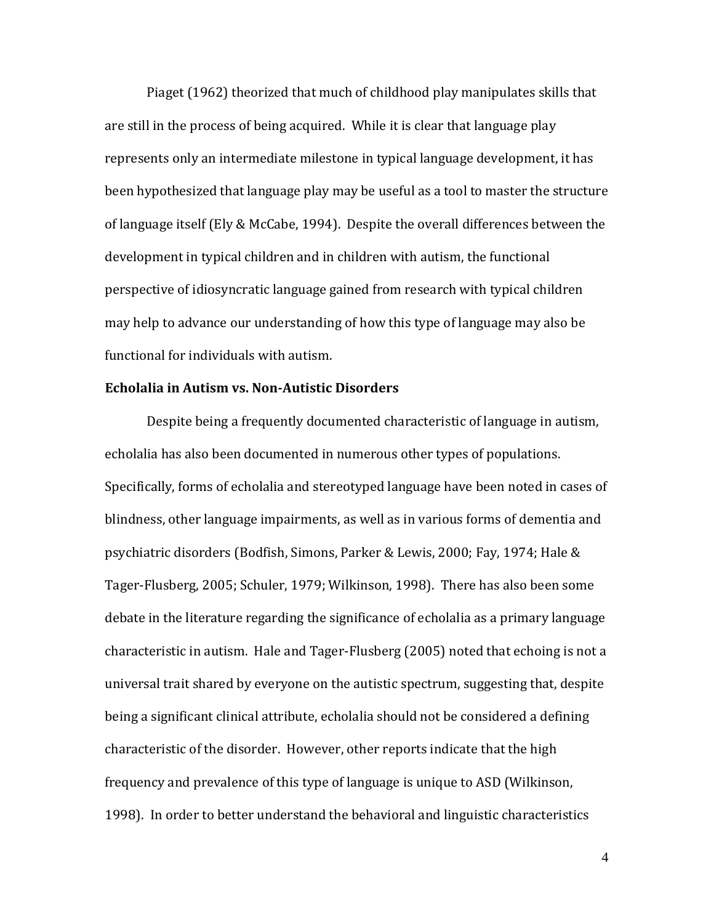Piaget (1962) theorized that much of childhood play manipulates skills that are still in the process of being acquired. While it is clear that language play represents only an intermediate milestone in typical language development, it has been hypothesized that language play may be useful as a tool to master the structure of language itself (Ely & McCabe, 1994). Despite the overall differences between the development in typical children and in children with autism, the functional perspective of idiosyncratic language gained from research with typical children may help to advance our understanding of how this type of language may also be functional for individuals with autism.

### **Echolalia in Autism vs. Non-Autistic Disorders**

Despite being a frequently documented characteristic of language in autism, echolalia has also been documented in numerous other types of populations. Specifically, forms of echolalia and stereotyped language have been noted in cases of blindness, other language impairments, as well as in various forms of dementia and psychiatric disorders (Bodfish, Simons, Parker & Lewis, 2000; Fay, 1974; Hale & Tager-Flusberg, 2005; Schuler, 1979; Wilkinson, 1998). There has also been some debate in the literature regarding the significance of echolalia as a primary language characteristic in autism. Hale and Tager-Flusberg (2005) noted that echoing is not a universal trait shared by everyone on the autistic spectrum, suggesting that, despite being a significant clinical attribute, echolalia should not be considered a defining characteristic of the disorder. However, other reports indicate that the high frequency and prevalence of this type of language is unique to ASD (Wilkinson, 1998). In order to better understand the behavioral and linguistic characteristics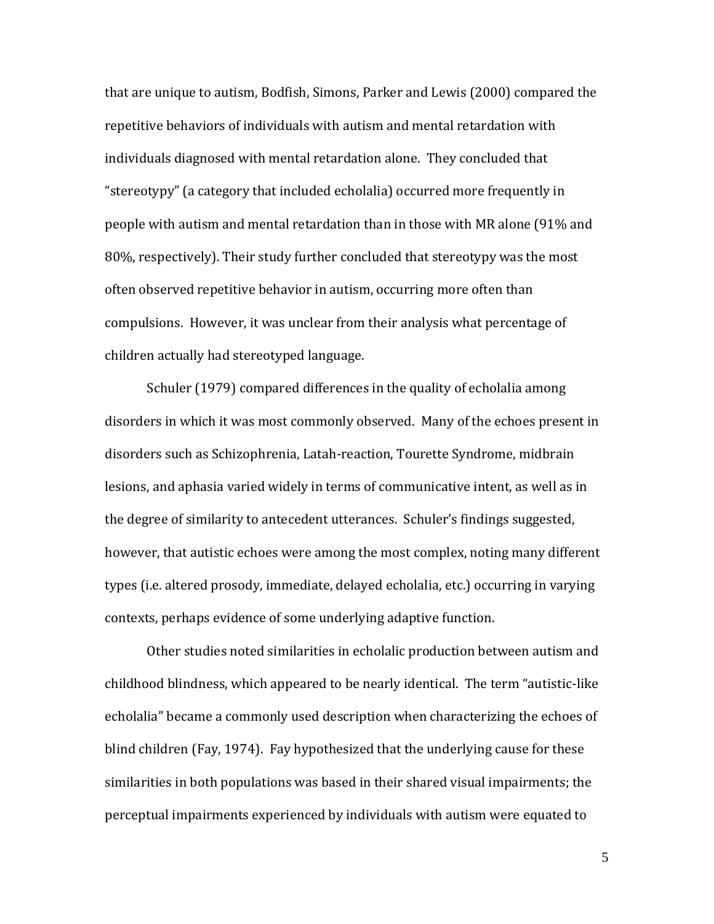that are unique to autism, Bodfish, Simons, Parker and Lewis (2000) compared the repetitive behaviors of individuals with autism and mental retardation with individuals diagnosed with mental retardation alone. They concluded that "stereotypy" (a category that included echolalia) occurred more frequently in people with autism and mental retardation than in those with MR alone (91% and 80%, respectively). Their study further concluded that stereotypy was the most often observed repetitive behavior in autism, occurring more often than compulsions. However, it was unclear from their analysis what percentage of children actually had stereotyped language.

Schuler (1979) compared differences in the quality of echolalia among disorders in which it was most commonly observed. Many of the echoes present in disorders such as Schizophrenia, Latah-reaction, Tourette Syndrome, midbrain lesions, and aphasia varied widely in terms of communicative intent, as well as in the degree of similarity to antecedent utterances. Schuler's findings suggested, however, that autistic echoes were among the most complex, noting many different types (i.e. altered prosody, immediate, delayed echolalia, etc.) occurring in varying contexts, perhaps evidence of some underlying adaptive function.

Other studies noted similarities in echolalic production between autism and childhood blindness, which appeared to be nearly identical. The term "autistic-like echolalia" became a commonly used description when characterizing the echoes of blind children (Fay, 1974). Fay hypothesized that the underlying cause for these similarities in both populations was based in their shared visual impairments; the perceptual impairments experienced by individuals with autism were equated to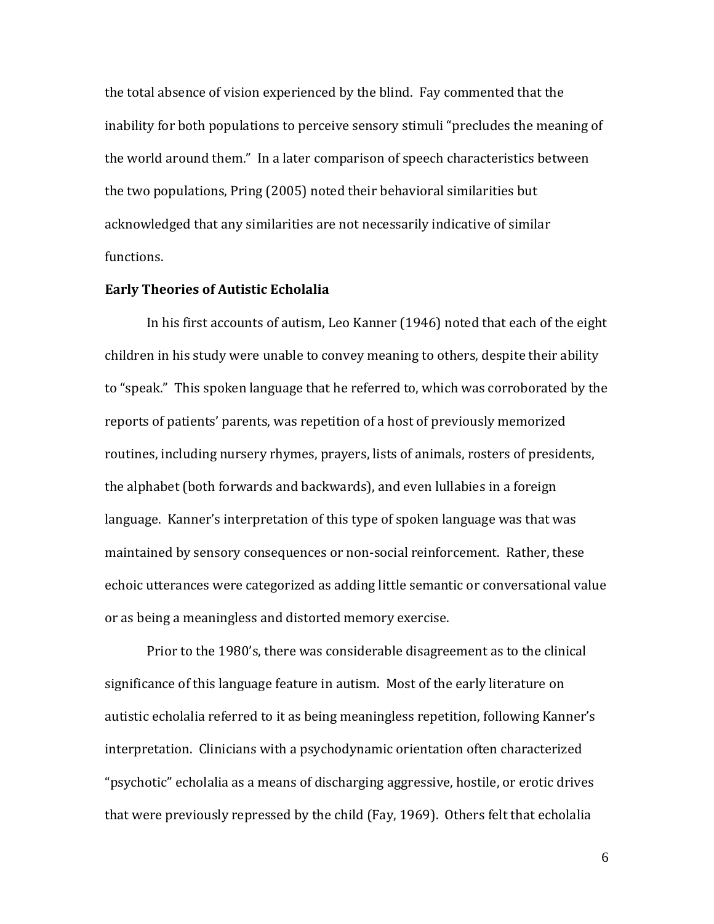the total absence of vision experienced by the blind. Fay commented that the inability for both populations to perceive sensory stimuli "precludes the meaning of the world around them." In a later comparison of speech characteristics between the two populations, Pring (2005) noted their behavioral similarities but acknowledged that any similarities are not necessarily indicative of similar functions.

### **Early Theories of Autistic Echolalia**

In his first accounts of autism, Leo Kanner (1946) noted that each of the eight children in his study were unable to convey meaning to others, despite their ability to "speak." This spoken language that he referred to, which was corroborated by the reports of patients' parents, was repetition of a host of previously memorized routines, including nursery rhymes, prayers, lists of animals, rosters of presidents, the alphabet (both forwards and backwards), and even lullabies in a foreign language. Kanner's interpretation of this type of spoken language was that was maintained by sensory consequences or non-social reinforcement. Rather, these echoic utterances were categorized as adding little semantic or conversational value or as being a meaningless and distorted memory exercise.

Prior to the 1980's, there was considerable disagreement as to the clinical significance of this language feature in autism. Most of the early literature on autistic echolalia referred to it as being meaningless repetition, following Kanner's interpretation. Clinicians with a psychodynamic orientation often characterized "psychotic" echolalia as a means of discharging aggressive, hostile, or erotic drives that were previously repressed by the child (Fay, 1969). Others felt that echolalia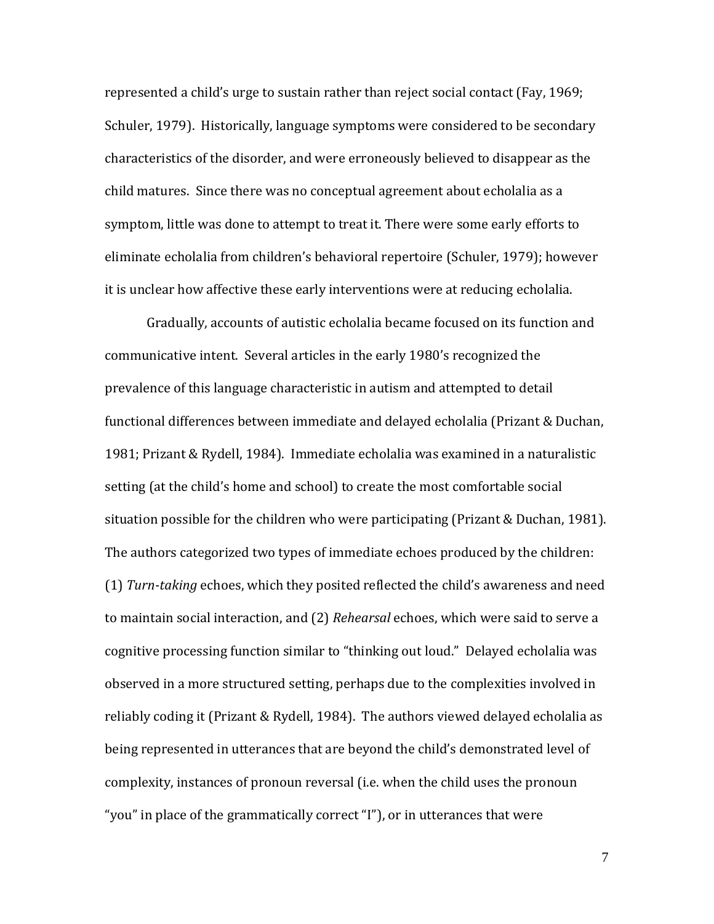represented a child's urge to sustain rather than reject social contact (Fay, 1969; Schuler, 1979). Historically, language symptoms were considered to be secondary characteristics of the disorder, and were erroneously believed to disappear as the child matures. Since there was no conceptual agreement about echolalia as a symptom, little was done to attempt to treat it. There were some early efforts to eliminate echolalia from children's behavioral repertoire (Schuler, 1979); however it is unclear how affective these early interventions were at reducing echolalia.

Gradually, accounts of autistic echolalia became focused on its function and communicative intent. Several articles in the early 1980's recognized the prevalence of this language characteristic in autism and attempted to detail functional differences between immediate and delayed echolalia (Prizant & Duchan, 1981; Prizant & Rydell, 1984). Immediate echolalia was examined in a naturalistic setting (at the child's home and school) to create the most comfortable social situation possible for the children who were participating (Prizant & Duchan, 1981). The authors categorized two types of immediate echoes produced by the children: (1) *Turn-taking* echoes, which they posited reflected the child's awareness and need to maintain social interaction, and (2) *Rehearsal* echoes, which were said to serve a cognitive processing function similar to "thinking out loud." Delayed echolalia was observed in a more structured setting, perhaps due to the complexities involved in reliably coding it (Prizant & Rydell, 1984). The authors viewed delayed echolalia as being represented in utterances that are beyond the child's demonstrated level of complexity, instances of pronoun reversal (i.e. when the child uses the pronoun "you" in place of the grammatically correct "I"), or in utterances that were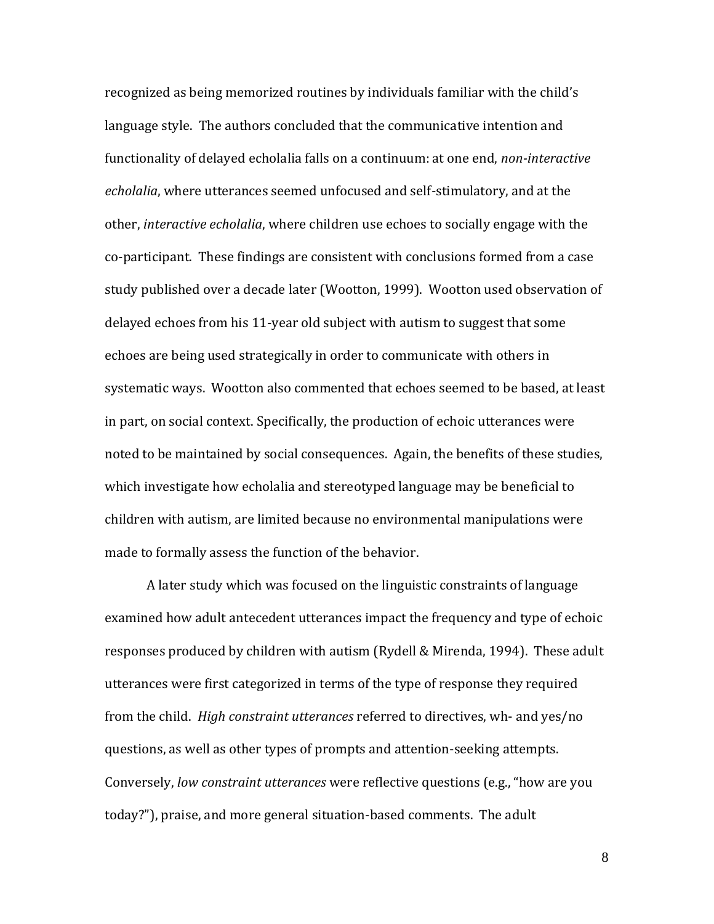recognized as being memorized routines by individuals familiar with the child's language style. The authors concluded that the communicative intention and functionality of delayed echolalia falls on a continuum: at one end, *non-interactive echolalia*, where utterances seemed unfocused and self-stimulatory, and at the other, *interactive echolalia*, where children use echoes to socially engage with the co-participant. These findings are consistent with conclusions formed from a case study published over a decade later (Wootton, 1999). Wootton used observation of delayed echoes from his 11-year old subject with autism to suggest that some echoes are being used strategically in order to communicate with others in systematic ways. Wootton also commented that echoes seemed to be based, at least in part, on social context. Specifically, the production of echoic utterances were noted to be maintained by social consequences. Again, the benefits of these studies, which investigate how echolalia and stereotyped language may be beneficial to children with autism, are limited because no environmental manipulations were made to formally assess the function of the behavior.

A later study which was focused on the linguistic constraints of language examined how adult antecedent utterances impact the frequency and type of echoic responses produced by children with autism (Rydell & Mirenda, 1994). These adult utterances were first categorized in terms of the type of response they required from the child. *High constraint utterances* referred to directives, wh- and yes/no questions, as well as other types of prompts and attention-seeking attempts. Conversely, *low constraint utterances* were reflective questions (e.g., "how are you today?"), praise, and more general situation-based comments. The adult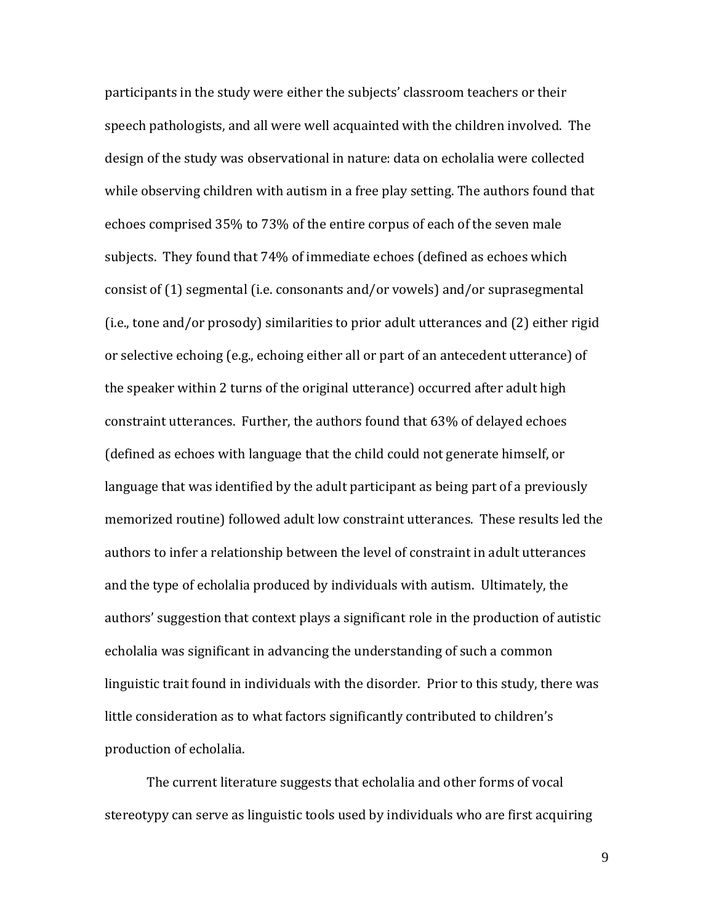participants in the study were either the subjects' classroom teachers or their speech pathologists, and all were well acquainted with the children involved. The design of the study was observational in nature: data on echolalia were collected while observing children with autism in a free play setting. The authors found that echoes comprised 35% to 73% of the entire corpus of each of the seven male subjects. They found that 74% of immediate echoes (defined as echoes which consist of (1) segmental (i.e. consonants and/or vowels) and/or suprasegmental (i.e., tone and/or prosody) similarities to prior adult utterances and (2) either rigid or selective echoing (e.g., echoing either all or part of an antecedent utterance) of the speaker within 2 turns of the original utterance) occurred after adult high constraint utterances. Further, the authors found that 63% of delayed echoes (defined as echoes with language that the child could not generate himself, or language that was identified by the adult participant as being part of a previously memorized routine) followed adult low constraint utterances. These results led the authors to infer a relationship between the level of constraint in adult utterances and the type of echolalia produced by individuals with autism. Ultimately, the authors' suggestion that context plays a significant role in the production of autistic echolalia was significant in advancing the understanding of such a common linguistic trait found in individuals with the disorder. Prior to this study, there was little consideration as to what factors significantly contributed to children's production of echolalia.

The current literature suggests that echolalia and other forms of vocal stereotypy can serve as linguistic tools used by individuals who are first acquiring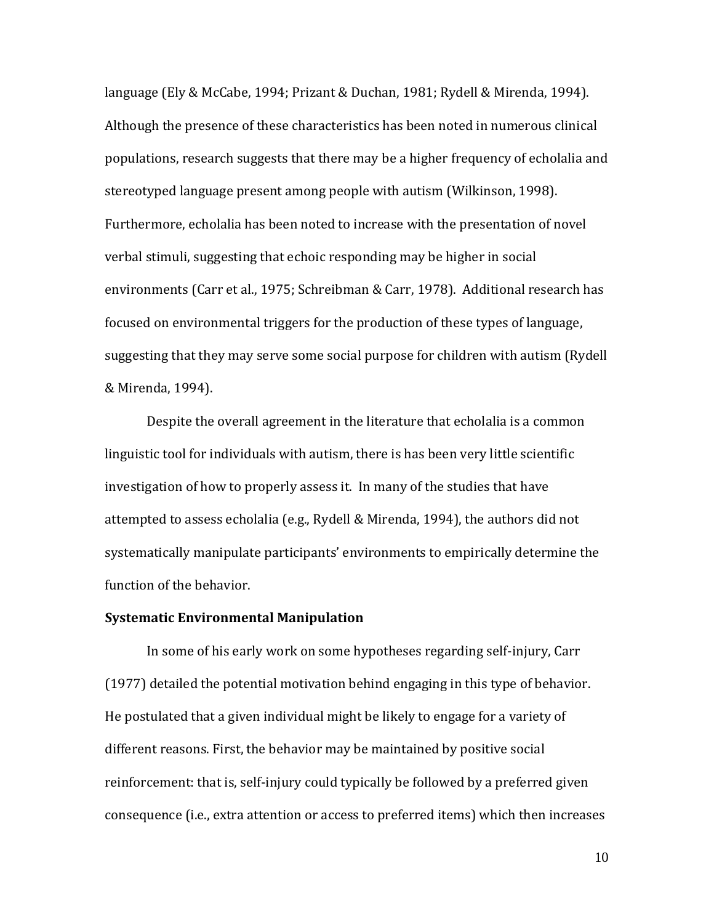language (Ely & McCabe, 1994; Prizant & Duchan, 1981; Rydell & Mirenda, 1994). Although the presence of these characteristics has been noted in numerous clinical populations, research suggests that there may be a higher frequency of echolalia and stereotyped language present among people with autism (Wilkinson, 1998). Furthermore, echolalia has been noted to increase with the presentation of novel verbal stimuli, suggesting that echoic responding may be higher in social environments (Carr et al., 1975; Schreibman & Carr, 1978). Additional research has focused on environmental triggers for the production of these types of language, suggesting that they may serve some social purpose for children with autism (Rydell & Mirenda, 1994).

Despite the overall agreement in the literature that echolalia is a common linguistic tool for individuals with autism, there is has been very little scientific investigation of how to properly assess it. In many of the studies that have attempted to assess echolalia (e.g., Rydell & Mirenda, 1994), the authors did not systematically manipulate participants' environments to empirically determine the function of the behavior.

### **Systematic Environmental Manipulation**

In some of his early work on some hypotheses regarding self-injury, Carr (1977) detailed the potential motivation behind engaging in this type of behavior. He postulated that a given individual might be likely to engage for a variety of different reasons. First, the behavior may be maintained by positive social reinforcement: that is, self-injury could typically be followed by a preferred given consequence (i.e., extra attention or access to preferred items) which then increases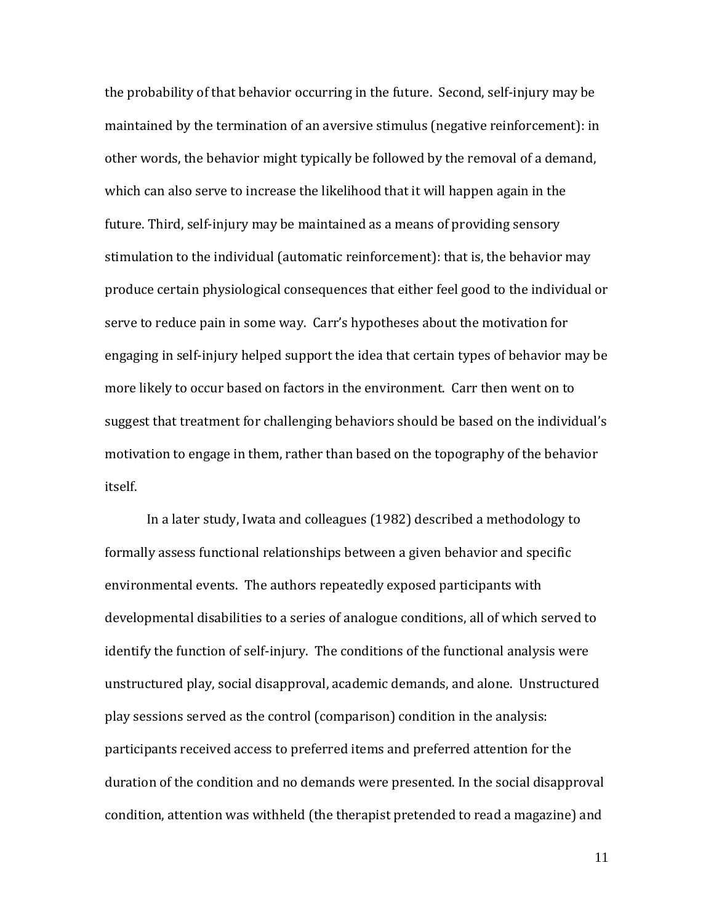the probability of that behavior occurring in the future. Second, self-injury may be maintained by the termination of an aversive stimulus (negative reinforcement): in other words, the behavior might typically be followed by the removal of a demand, which can also serve to increase the likelihood that it will happen again in the future. Third, self-injury may be maintained as a means of providing sensory stimulation to the individual (automatic reinforcement): that is, the behavior may produce certain physiological consequences that either feel good to the individual or serve to reduce pain in some way. Carr's hypotheses about the motivation for engaging in self-injury helped support the idea that certain types of behavior may be more likely to occur based on factors in the environment. Carr then went on to suggest that treatment for challenging behaviors should be based on the individual's motivation to engage in them, rather than based on the topography of the behavior itself.

In a later study, Iwata and colleagues (1982) described a methodology to formally assess functional relationships between a given behavior and specific environmental events. The authors repeatedly exposed participants with developmental disabilities to a series of analogue conditions, all of which served to identify the function of self-injury. The conditions of the functional analysis were unstructured play, social disapproval, academic demands, and alone. Unstructured play sessions served as the control (comparison) condition in the analysis: participants received access to preferred items and preferred attention for the duration of the condition and no demands were presented. In the social disapproval condition, attention was withheld (the therapist pretended to read a magazine) and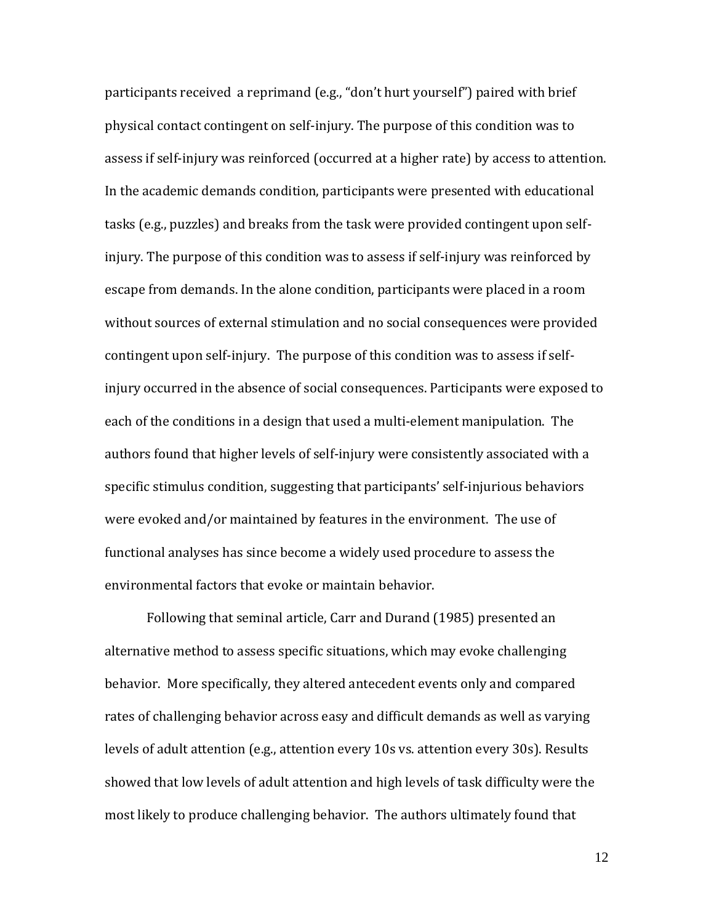participants received a reprimand (e.g., "don't hurt yourself") paired with brief physical contact contingent on self-injury. The purpose of this condition was to assess if self-injury was reinforced (occurred at a higher rate) by access to attention. In the academic demands condition, participants were presented with educational tasks (e.g., puzzles) and breaks from the task were provided contingent upon selfinjury. The purpose of this condition was to assess if self-injury was reinforced by escape from demands. In the alone condition, participants were placed in a room without sources of external stimulation and no social consequences were provided contingent upon self-injury. The purpose of this condition was to assess if selfinjury occurred in the absence of social consequences. Participants were exposed to each of the conditions in a design that used a multi-element manipulation. The authors found that higher levels of self-injury were consistently associated with a specific stimulus condition, suggesting that participants' self-injurious behaviors were evoked and/or maintained by features in the environment. The use of functional analyses has since become a widely used procedure to assess the environmental factors that evoke or maintain behavior.

Following that seminal article, Carr and Durand (1985) presented an alternative method to assess specific situations, which may evoke challenging behavior. More specifically, they altered antecedent events only and compared rates of challenging behavior across easy and difficult demands as well as varying levels of adult attention (e.g., attention every 10s vs. attention every 30s). Results showed that low levels of adult attention and high levels of task difficulty were the most likely to produce challenging behavior. The authors ultimately found that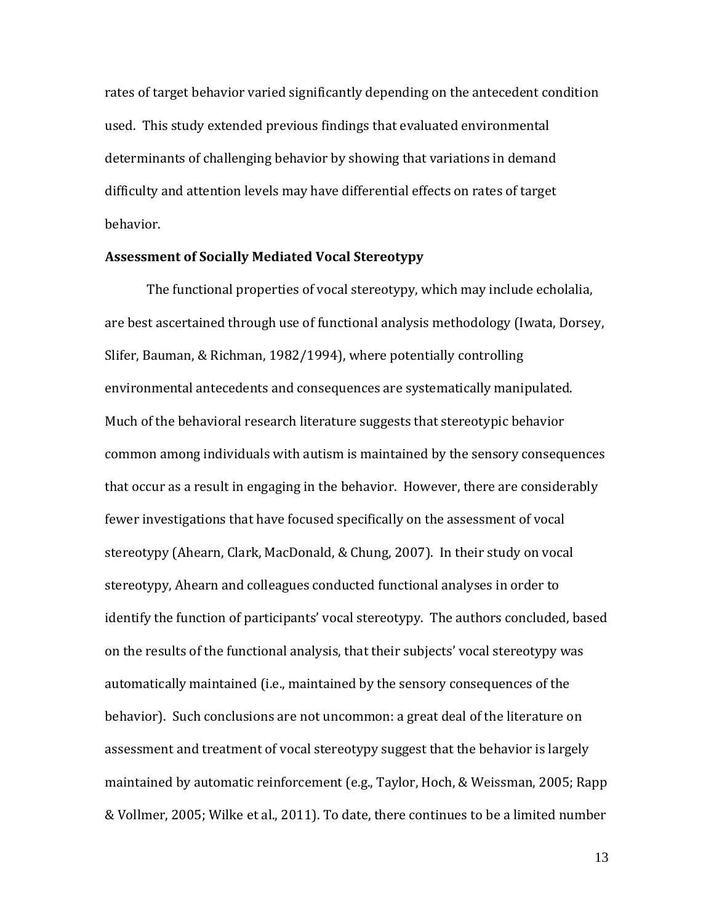rates of target behavior varied significantly depending on the antecedent condition used. This study extended previous findings that evaluated environmental determinants of challenging behavior by showing that variations in demand difficulty and attention levels may have differential effects on rates of target behavior.

### **Assessment of Socially Mediated Vocal Stereotypy**

The functional properties of vocal stereotypy, which may include echolalia, are best ascertained through use of functional analysis methodology (Iwata, Dorsey, Slifer, Bauman, & Richman, 1982/1994), where potentially controlling environmental antecedents and consequences are systematically manipulated. Much of the behavioral research literature suggests that stereotypic behavior common among individuals with autism is maintained by the sensory consequences that occur as a result in engaging in the behavior. However, there are considerably fewer investigations that have focused specifically on the assessment of vocal stereotypy (Ahearn, Clark, MacDonald, & Chung, 2007). In their study on vocal stereotypy, Ahearn and colleagues conducted functional analyses in order to identify the function of participants' vocal stereotypy. The authors concluded, based on the results of the functional analysis, that their subjects' vocal stereotypy was automatically maintained (i.e., maintained by the sensory consequences of the behavior). Such conclusions are not uncommon: a great deal of the literature on assessment and treatment of vocal stereotypy suggest that the behavior is largely maintained by automatic reinforcement (e.g., Taylor, Hoch, & Weissman, 2005; Rapp & Vollmer, 2005; Wilke et al., 2011). To date, there continues to be a limited number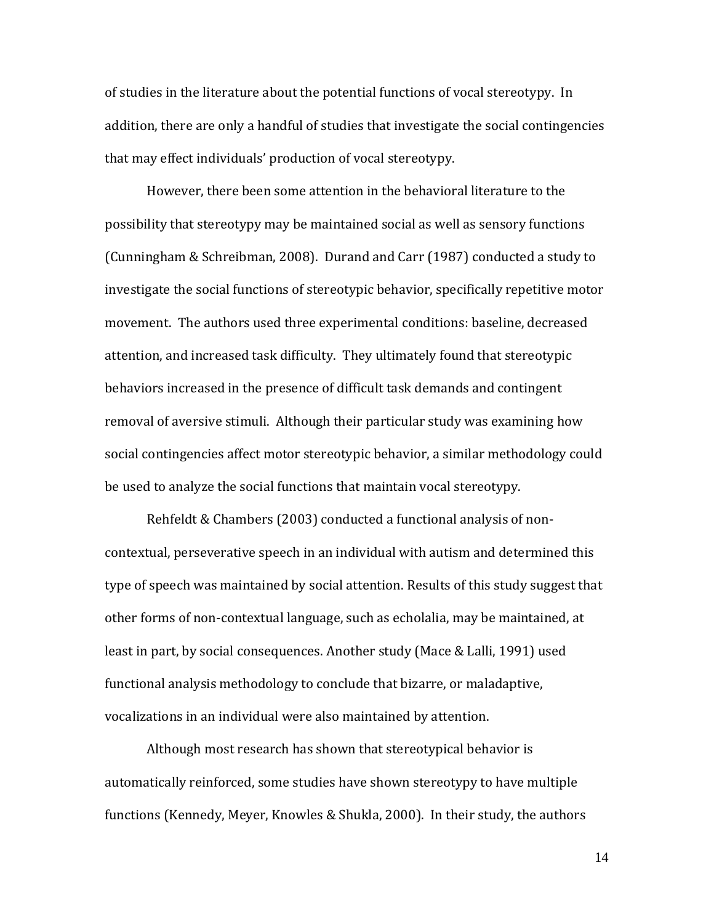of studies in the literature about the potential functions of vocal stereotypy. In addition, there are only a handful of studies that investigate the social contingencies that may effect individuals' production of vocal stereotypy.

However, there been some attention in the behavioral literature to the possibility that stereotypy may be maintained social as well as sensory functions (Cunningham & Schreibman, 2008). Durand and Carr (1987) conducted a study to investigate the social functions of stereotypic behavior, specifically repetitive motor movement. The authors used three experimental conditions: baseline, decreased attention, and increased task difficulty. They ultimately found that stereotypic behaviors increased in the presence of difficult task demands and contingent removal of aversive stimuli. Although their particular study was examining how social contingencies affect motor stereotypic behavior, a similar methodology could be used to analyze the social functions that maintain vocal stereotypy.

Rehfeldt & Chambers (2003) conducted a functional analysis of noncontextual, perseverative speech in an individual with autism and determined this type of speech was maintained by social attention. Results of this study suggest that other forms of non-contextual language, such as echolalia, may be maintained, at least in part, by social consequences. Another study (Mace & Lalli, 1991) used functional analysis methodology to conclude that bizarre, or maladaptive, vocalizations in an individual were also maintained by attention.

Although most research has shown that stereotypical behavior is automatically reinforced, some studies have shown stereotypy to have multiple functions (Kennedy, Meyer, Knowles & Shukla, 2000). In their study, the authors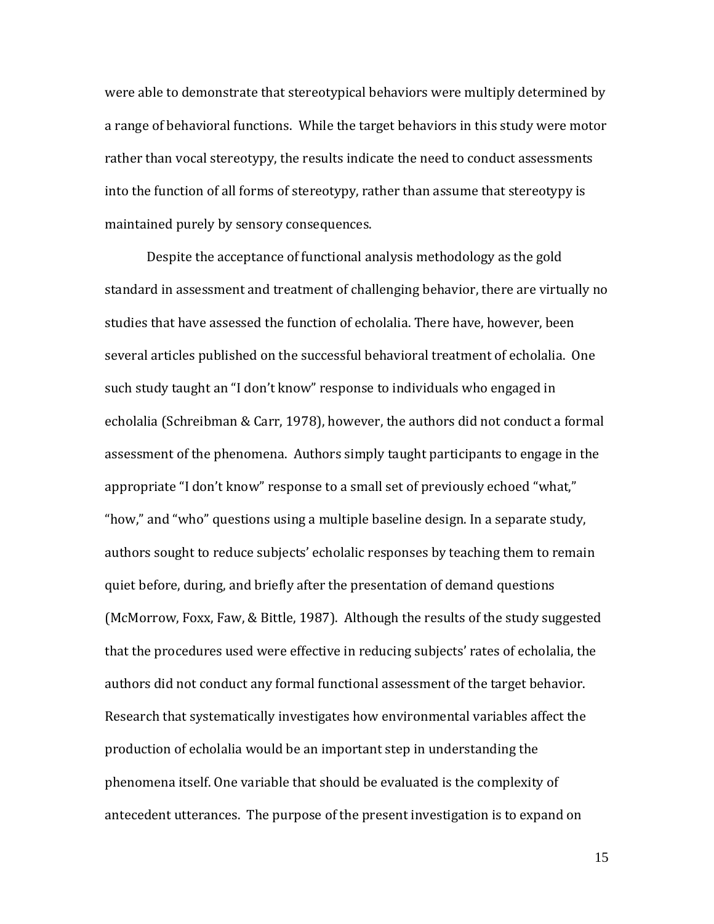were able to demonstrate that stereotypical behaviors were multiply determined by a range of behavioral functions. While the target behaviors in this study were motor rather than vocal stereotypy, the results indicate the need to conduct assessments into the function of all forms of stereotypy, rather than assume that stereotypy is maintained purely by sensory consequences.

Despite the acceptance of functional analysis methodology as the gold standard in assessment and treatment of challenging behavior, there are virtually no studies that have assessed the function of echolalia. There have, however, been several articles published on the successful behavioral treatment of echolalia. One such study taught an "I don't know" response to individuals who engaged in echolalia (Schreibman & Carr, 1978), however, the authors did not conduct a formal assessment of the phenomena. Authors simply taught participants to engage in the appropriate "I don't know" response to a small set of previously echoed "what," "how," and "who" questions using a multiple baseline design. In a separate study, authors sought to reduce subjects' echolalic responses by teaching them to remain quiet before, during, and briefly after the presentation of demand questions (McMorrow, Foxx, Faw, & Bittle, 1987). Although the results of the study suggested that the procedures used were effective in reducing subjects' rates of echolalia, the authors did not conduct any formal functional assessment of the target behavior. Research that systematically investigates how environmental variables affect the production of echolalia would be an important step in understanding the phenomena itself. One variable that should be evaluated is the complexity of antecedent utterances. The purpose of the present investigation is to expand on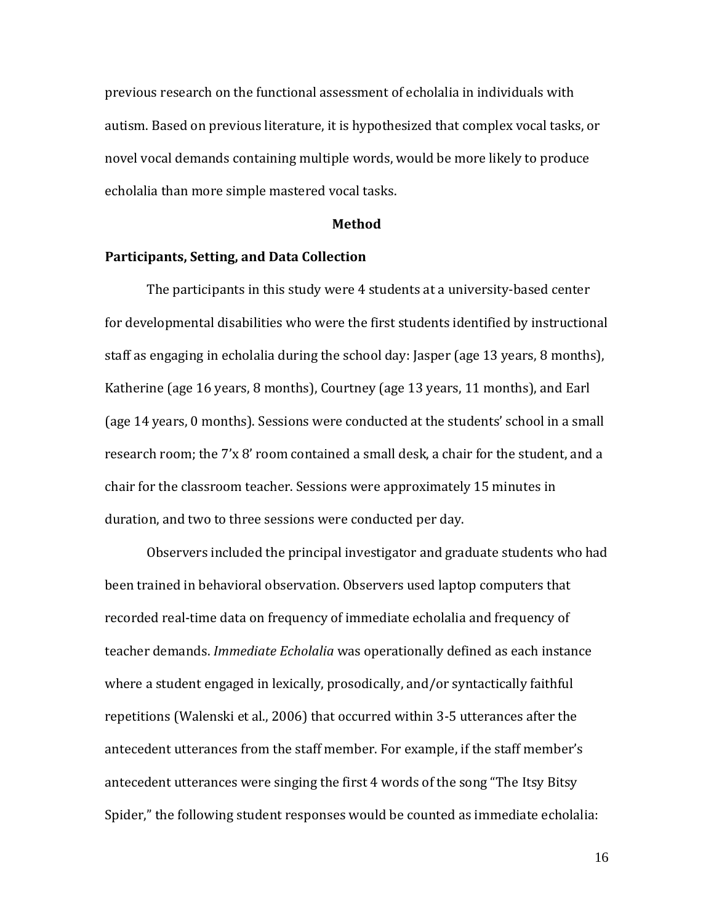previous research on the functional assessment of echolalia in individuals with autism. Based on previous literature, it is hypothesized that complex vocal tasks, or novel vocal demands containing multiple words, would be more likely to produce echolalia than more simple mastered vocal tasks.

#### **Method**

### **Participants, Setting, and Data Collection**

The participants in this study were 4 students at a university-based center for developmental disabilities who were the first students identified by instructional staff as engaging in echolalia during the school day: Jasper (age 13 years, 8 months), Katherine (age 16 years, 8 months), Courtney (age 13 years, 11 months), and Earl (age 14 years, 0 months). Sessions were conducted at the students' school in a small research room; the 7'x 8' room contained a small desk, a chair for the student, and a chair for the classroom teacher. Sessions were approximately 15 minutes in duration, and two to three sessions were conducted per day.

Observers included the principal investigator and graduate students who had been trained in behavioral observation. Observers used laptop computers that recorded real-time data on frequency of immediate echolalia and frequency of teacher demands. *Immediate Echolalia* was operationally defined as each instance where a student engaged in lexically, prosodically, and/or syntactically faithful repetitions (Walenski et al., 2006) that occurred within 3-5 utterances after the antecedent utterances from the staff member. For example, if the staff member's antecedent utterances were singing the first 4 words of the song "The Itsy Bitsy Spider," the following student responses would be counted as immediate echolalia: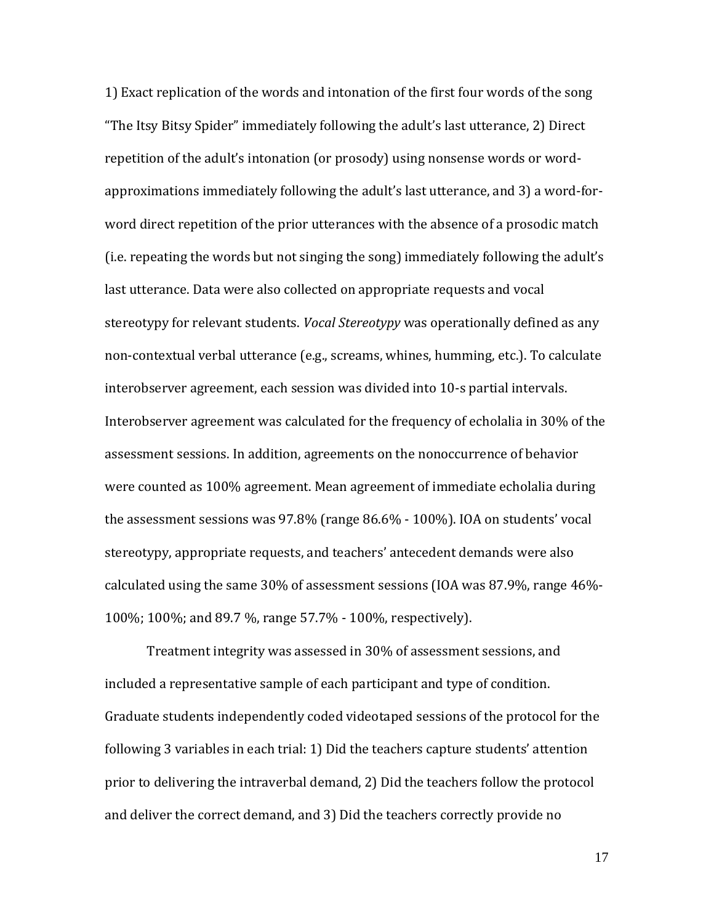1) Exact replication of the words and intonation of the first four words of the song "The Itsy Bitsy Spider" immediately following the adult's last utterance, 2) Direct repetition of the adult's intonation (or prosody) using nonsense words or wordapproximations immediately following the adult's last utterance, and 3) a word-forword direct repetition of the prior utterances with the absence of a prosodic match (i.e. repeating the words but not singing the song) immediately following the adult's last utterance. Data were also collected on appropriate requests and vocal stereotypy for relevant students. *Vocal Stereotypy* was operationally defined as any non-contextual verbal utterance (e.g., screams, whines, humming, etc.). To calculate interobserver agreement, each session was divided into 10-s partial intervals. Interobserver agreement was calculated for the frequency of echolalia in 30% of the assessment sessions. In addition, agreements on the nonoccurrence of behavior were counted as 100% agreement. Mean agreement of immediate echolalia during the assessment sessions was 97.8% (range 86.6% - 100%). IOA on students' vocal stereotypy, appropriate requests, and teachers' antecedent demands were also calculated using the same 30% of assessment sessions (IOA was 87.9%, range 46%- 100%; 100%; and 89.7 %, range 57.7% - 100%, respectively).

Treatment integrity was assessed in 30% of assessment sessions, and included a representative sample of each participant and type of condition. Graduate students independently coded videotaped sessions of the protocol for the following 3 variables in each trial: 1) Did the teachers capture students' attention prior to delivering the intraverbal demand, 2) Did the teachers follow the protocol and deliver the correct demand, and 3) Did the teachers correctly provide no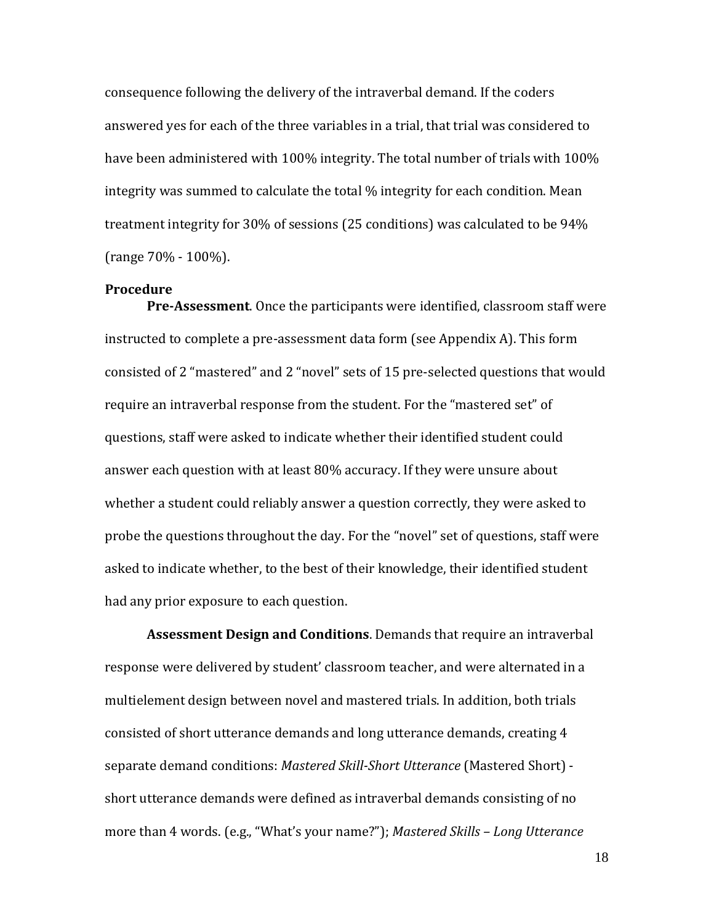consequence following the delivery of the intraverbal demand. If the coders answered yes for each of the three variables in a trial, that trial was considered to have been administered with 100% integrity. The total number of trials with 100% integrity was summed to calculate the total % integrity for each condition. Mean treatment integrity for 30% of sessions (25 conditions) was calculated to be 94% (range 70% - 100%).

### **Procedure**

**Pre-Assessment**. Once the participants were identified, classroom staff were instructed to complete a pre-assessment data form (see Appendix A). This form consisted of 2 "mastered" and 2 "novel" sets of 15 pre-selected questions that would require an intraverbal response from the student. For the "mastered set" of questions, staff were asked to indicate whether their identified student could answer each question with at least 80% accuracy. If they were unsure about whether a student could reliably answer a question correctly, they were asked to probe the questions throughout the day. For the "novel" set of questions, staff were asked to indicate whether, to the best of their knowledge, their identified student had any prior exposure to each question.

**Assessment Design and Conditions**. Demands that require an intraverbal response were delivered by student' classroom teacher, and were alternated in a multielement design between novel and mastered trials. In addition, both trials consisted of short utterance demands and long utterance demands, creating 4 separate demand conditions: *Mastered Skill-Short Utterance* (Mastered Short) short utterance demands were defined as intraverbal demands consisting of no more than 4 words. (e.g., "What's your name?"); *Mastered Skills – Long Utterance*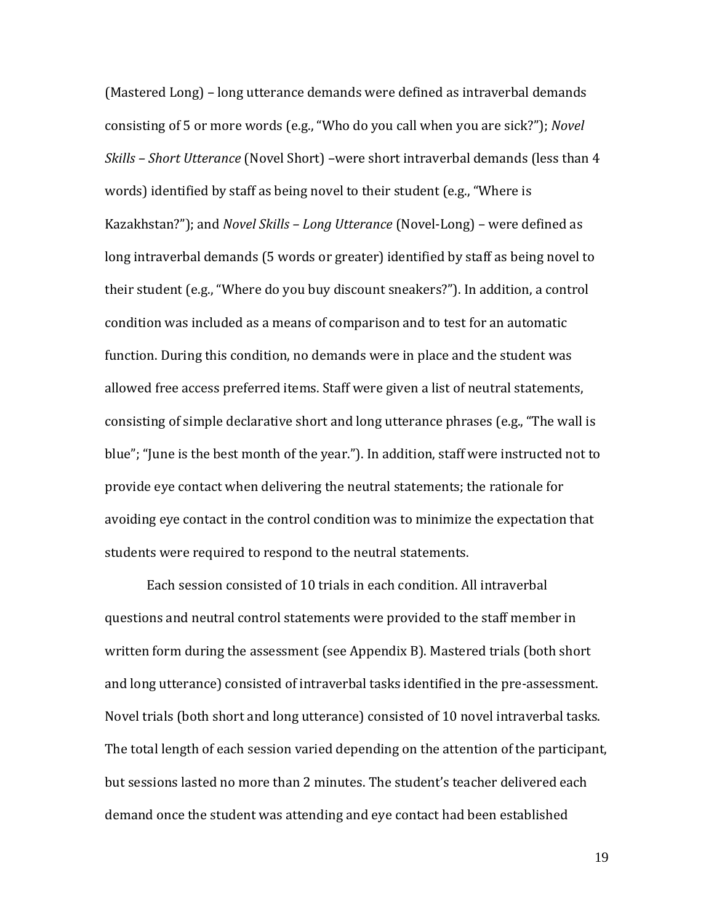(Mastered Long) – long utterance demands were defined as intraverbal demands consisting of 5 or more words (e.g., "Who do you call when you are sick?"); *Novel Skills – Short Utterance* (Novel Short) –were short intraverbal demands (less than 4 words) identified by staff as being novel to their student (e.g., "Where is Kazakhstan?"); and *Novel Skills – Long Utterance* (Novel-Long) – were defined as long intraverbal demands (5 words or greater) identified by staff as being novel to their student (e.g., "Where do you buy discount sneakers?"). In addition, a control condition was included as a means of comparison and to test for an automatic function. During this condition, no demands were in place and the student was allowed free access preferred items. Staff were given a list of neutral statements, consisting of simple declarative short and long utterance phrases (e.g., "The wall is blue"; "June is the best month of the year."). In addition, staff were instructed not to provide eye contact when delivering the neutral statements; the rationale for avoiding eye contact in the control condition was to minimize the expectation that students were required to respond to the neutral statements.

Each session consisted of 10 trials in each condition. All intraverbal questions and neutral control statements were provided to the staff member in written form during the assessment (see Appendix B). Mastered trials (both short and long utterance) consisted of intraverbal tasks identified in the pre-assessment. Novel trials (both short and long utterance) consisted of 10 novel intraverbal tasks. The total length of each session varied depending on the attention of the participant, but sessions lasted no more than 2 minutes. The student's teacher delivered each demand once the student was attending and eye contact had been established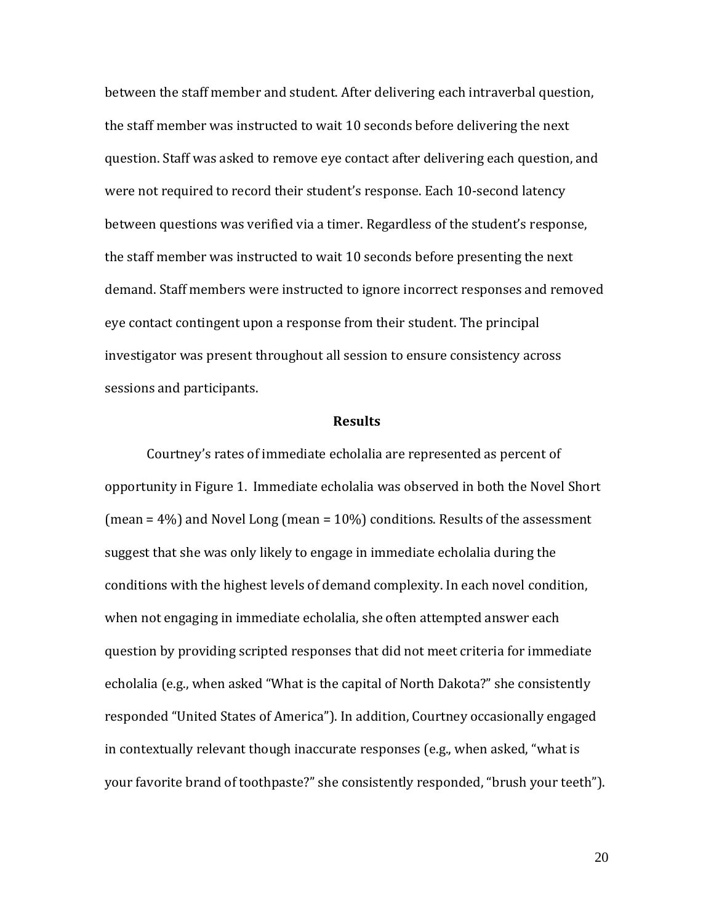between the staff member and student. After delivering each intraverbal question, the staff member was instructed to wait 10 seconds before delivering the next question. Staff was asked to remove eye contact after delivering each question, and were not required to record their student's response. Each 10-second latency between questions was verified via a timer. Regardless of the student's response, the staff member was instructed to wait 10 seconds before presenting the next demand. Staff members were instructed to ignore incorrect responses and removed eye contact contingent upon a response from their student. The principal investigator was present throughout all session to ensure consistency across sessions and participants.

### **Results**

Courtney's rates of immediate echolalia are represented as percent of opportunity in Figure 1. Immediate echolalia was observed in both the Novel Short (mean = 4%) and Novel Long (mean = 10%) conditions. Results of the assessment suggest that she was only likely to engage in immediate echolalia during the conditions with the highest levels of demand complexity. In each novel condition, when not engaging in immediate echolalia, she often attempted answer each question by providing scripted responses that did not meet criteria for immediate echolalia (e.g., when asked "What is the capital of North Dakota?" she consistently responded "United States of America"). In addition, Courtney occasionally engaged in contextually relevant though inaccurate responses (e.g., when asked, "what is your favorite brand of toothpaste?" she consistently responded, "brush your teeth").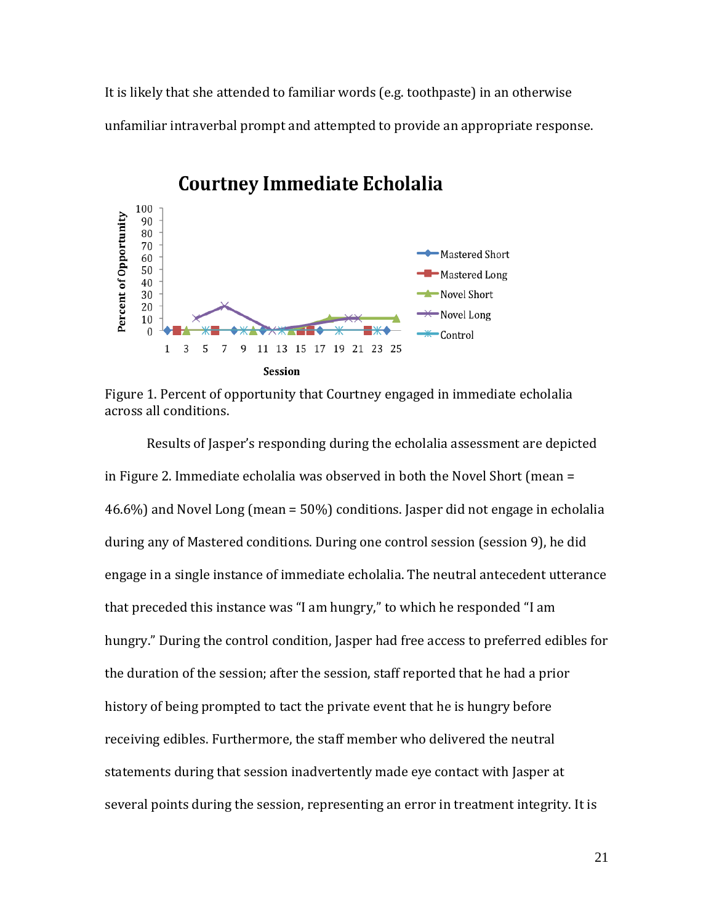It is likely that she attended to familiar words (e.g. toothpaste) in an otherwise unfamiliar intraverbal prompt and attempted to provide an appropriate response.



# **Courtney Immediate Echolalia**

Figure 1. Percent of opportunity that Courtney engaged in immediate echolalia across all conditions.

Results of Jasper's responding during the echolalia assessment are depicted in Figure 2. Immediate echolalia was observed in both the Novel Short (mean = 46.6%) and Novel Long (mean = 50%) conditions. Jasper did not engage in echolalia during any of Mastered conditions. During one control session (session 9), he did engage in a single instance of immediate echolalia. The neutral antecedent utterance that preceded this instance was "I am hungry," to which he responded "I am hungry." During the control condition, Jasper had free access to preferred edibles for the duration of the session; after the session, staff reported that he had a prior history of being prompted to tact the private event that he is hungry before receiving edibles. Furthermore, the staff member who delivered the neutral statements during that session inadvertently made eye contact with Jasper at several points during the session, representing an error in treatment integrity. It is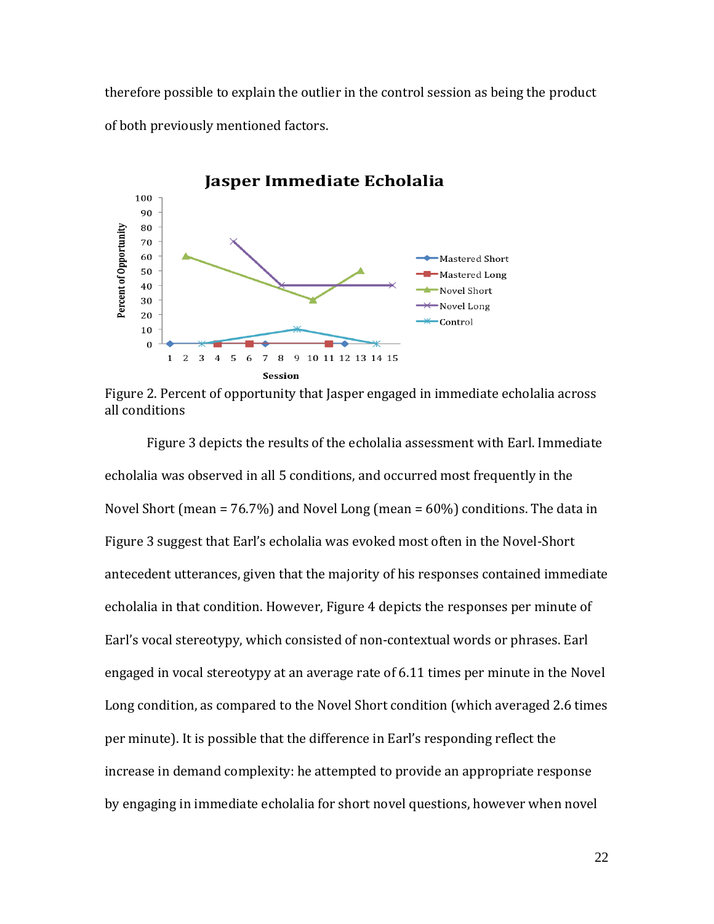therefore possible to explain the outlier in the control session as being the product of both previously mentioned factors.



Figure 2. Percent of opportunity that Jasper engaged in immediate echolalia across all conditions

Figure 3 depicts the results of the echolalia assessment with Earl. Immediate echolalia was observed in all 5 conditions, and occurred most frequently in the Novel Short (mean = 76.7%) and Novel Long (mean = 60%) conditions. The data in Figure 3 suggest that Earl's echolalia was evoked most often in the Novel-Short antecedent utterances, given that the majority of his responses contained immediate echolalia in that condition. However, Figure 4 depicts the responses per minute of Earl's vocal stereotypy, which consisted of non-contextual words or phrases. Earl engaged in vocal stereotypy at an average rate of 6.11 times per minute in the Novel Long condition, as compared to the Novel Short condition (which averaged 2.6 times per minute). It is possible that the difference in Earl's responding reflect the increase in demand complexity: he attempted to provide an appropriate response by engaging in immediate echolalia for short novel questions, however when novel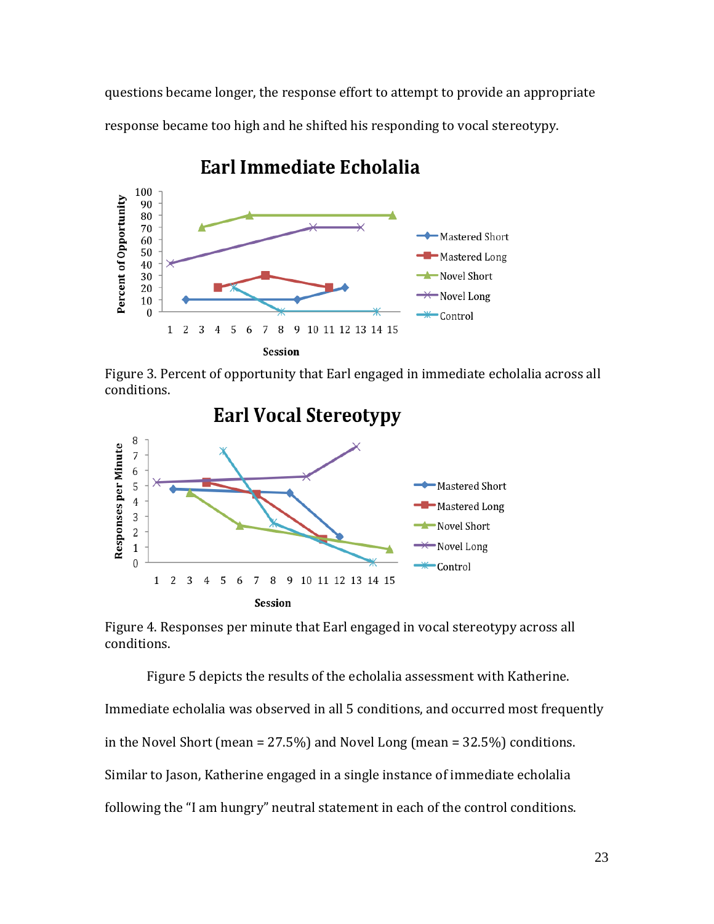questions became longer, the response effort to attempt to provide an appropriate response became too high and he shifted his responding to vocal stereotypy.



# Earl Immediate Echolalia

Figure 3. Percent of opportunity that Earl engaged in immediate echolalia across all conditions.



Figure 4. Responses per minute that Earl engaged in vocal stereotypy across all conditions.

Figure 5 depicts the results of the echolalia assessment with Katherine. Immediate echolalia was observed in all 5 conditions, and occurred most frequently in the Novel Short (mean = 27.5%) and Novel Long (mean = 32.5%) conditions. Similar to Jason, Katherine engaged in a single instance of immediate echolalia following the "I am hungry" neutral statement in each of the control conditions.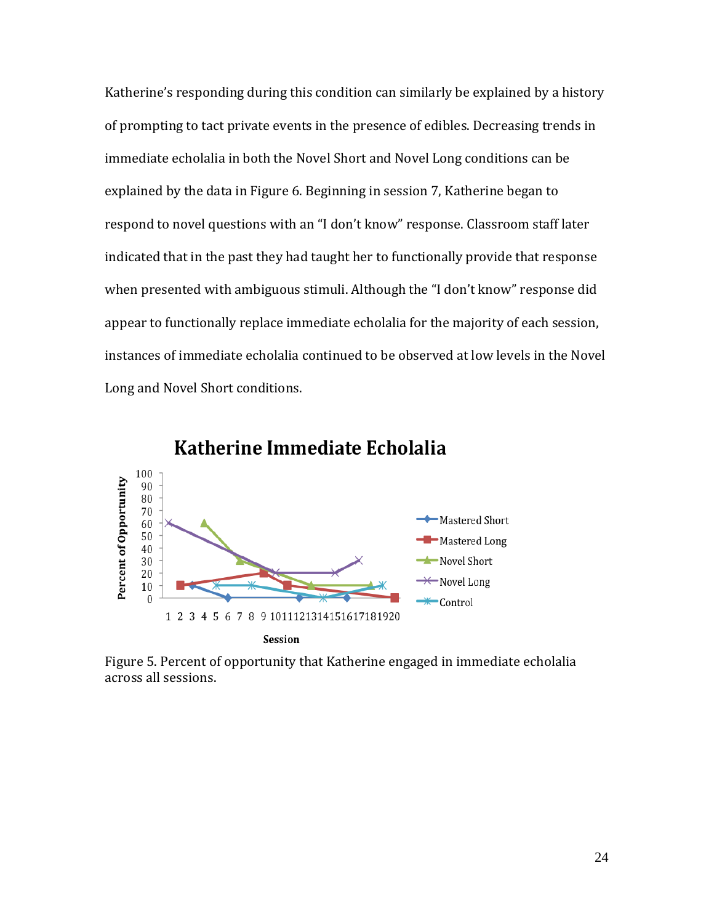Katherine's responding during this condition can similarly be explained by a history of prompting to tact private events in the presence of edibles. Decreasing trends in immediate echolalia in both the Novel Short and Novel Long conditions can be explained by the data in Figure 6. Beginning in session 7, Katherine began to respond to novel questions with an "I don't know" response. Classroom staff later indicated that in the past they had taught her to functionally provide that response when presented with ambiguous stimuli. Although the "I don't know" response did appear to functionally replace immediate echolalia for the majority of each session, instances of immediate echolalia continued to be observed at low levels in the Novel Long and Novel Short conditions.



Katherine Immediate Echolalia

Figure 5. Percent of opportunity that Katherine engaged in immediate echolalia across all sessions.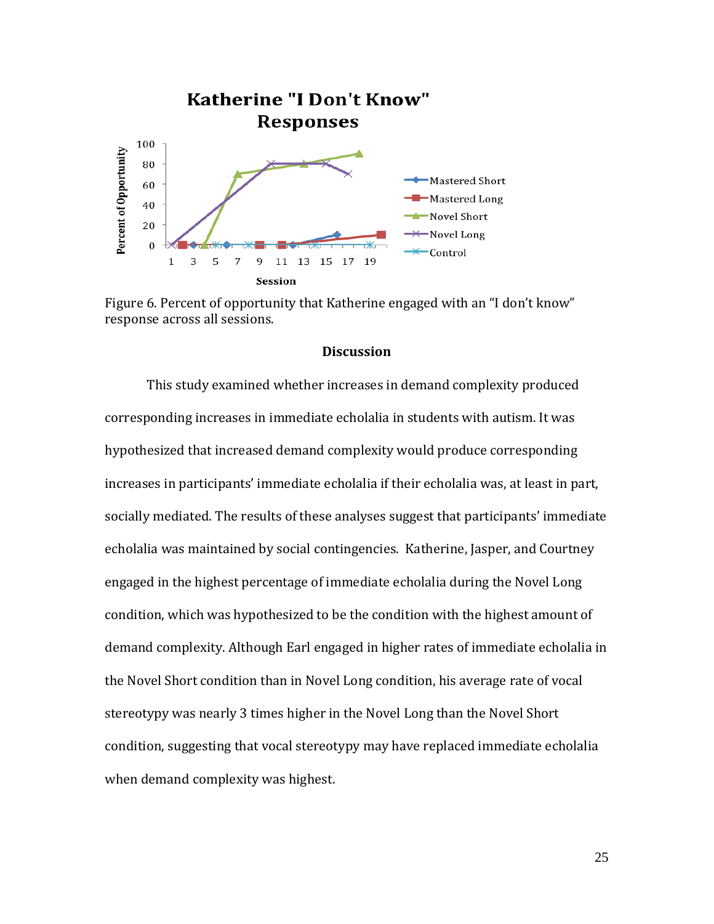

Figure 6. Percent of opportunity that Katherine engaged with an "I don't know" response across all sessions.

### **Discussion**

This study examined whether increases in demand complexity produced corresponding increases in immediate echolalia in students with autism. It was hypothesized that increased demand complexity would produce corresponding increases in participants' immediate echolalia if their echolalia was, at least in part, socially mediated. The results of these analyses suggest that participants' immediate echolalia was maintained by social contingencies. Katherine, Jasper, and Courtney engaged in the highest percentage of immediate echolalia during the Novel Long condition, which was hypothesized to be the condition with the highest amount of demand complexity. Although Earl engaged in higher rates of immediate echolalia in the Novel Short condition than in Novel Long condition, his average rate of vocal stereotypy was nearly 3 times higher in the Novel Long than the Novel Short condition, suggesting that vocal stereotypy may have replaced immediate echolalia when demand complexity was highest.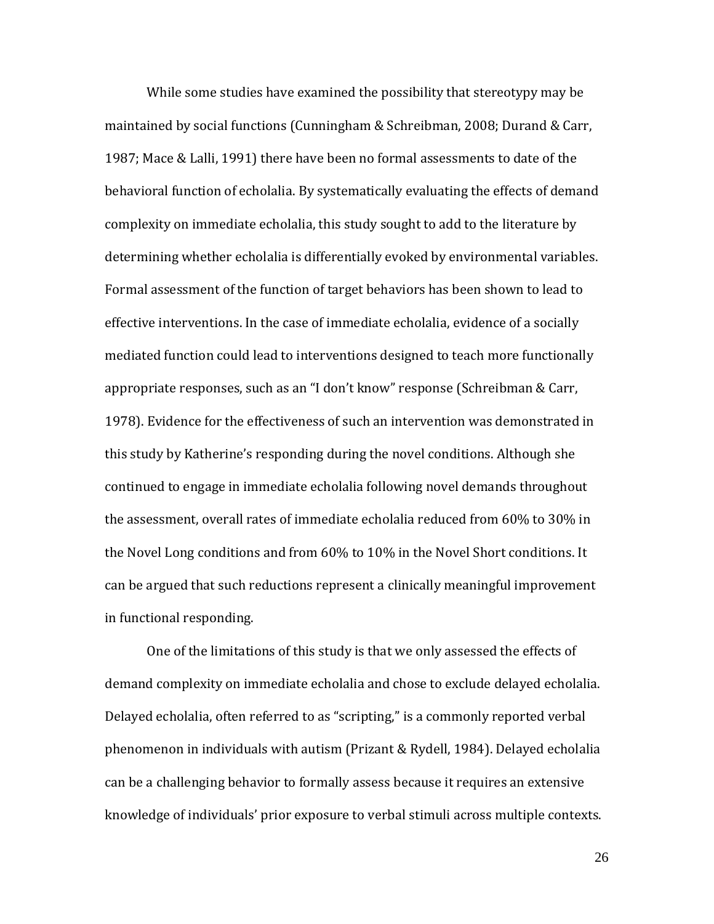While some studies have examined the possibility that stereotypy may be maintained by social functions (Cunningham & Schreibman, 2008; Durand & Carr, 1987; Mace & Lalli, 1991) there have been no formal assessments to date of the behavioral function of echolalia. By systematically evaluating the effects of demand complexity on immediate echolalia, this study sought to add to the literature by determining whether echolalia is differentially evoked by environmental variables. Formal assessment of the function of target behaviors has been shown to lead to effective interventions. In the case of immediate echolalia, evidence of a socially mediated function could lead to interventions designed to teach more functionally appropriate responses, such as an "I don't know" response (Schreibman & Carr, 1978). Evidence for the effectiveness of such an intervention was demonstrated in this study by Katherine's responding during the novel conditions. Although she continued to engage in immediate echolalia following novel demands throughout the assessment, overall rates of immediate echolalia reduced from 60% to 30% in the Novel Long conditions and from 60% to 10% in the Novel Short conditions. It can be argued that such reductions represent a clinically meaningful improvement in functional responding.

One of the limitations of this study is that we only assessed the effects of demand complexity on immediate echolalia and chose to exclude delayed echolalia. Delayed echolalia, often referred to as "scripting," is a commonly reported verbal phenomenon in individuals with autism (Prizant & Rydell, 1984). Delayed echolalia can be a challenging behavior to formally assess because it requires an extensive knowledge of individuals' prior exposure to verbal stimuli across multiple contexts.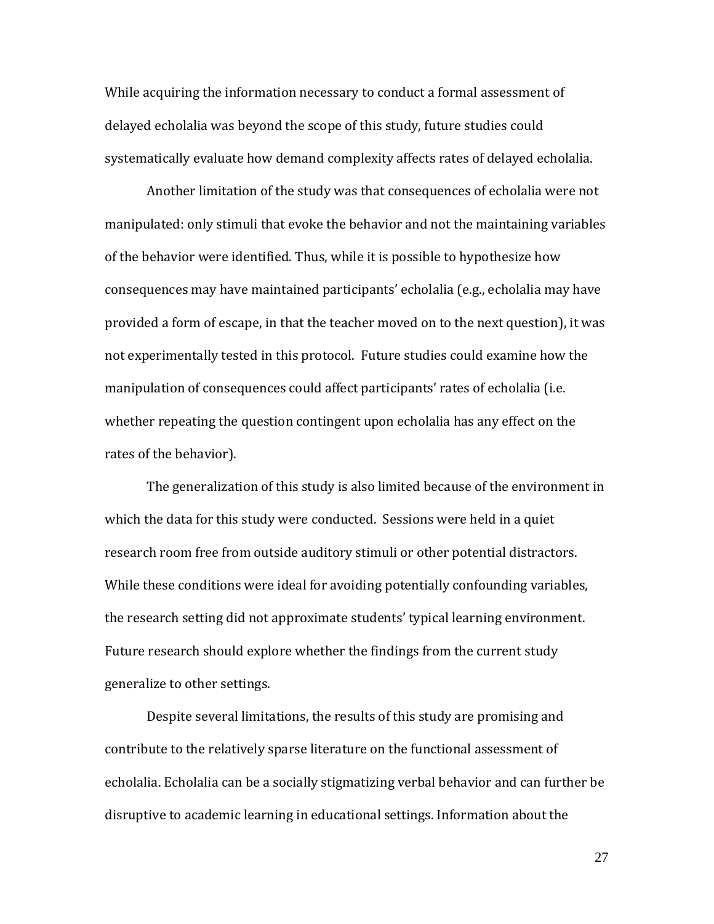While acquiring the information necessary to conduct a formal assessment of delayed echolalia was beyond the scope of this study, future studies could systematically evaluate how demand complexity affects rates of delayed echolalia.

Another limitation of the study was that consequences of echolalia were not manipulated: only stimuli that evoke the behavior and not the maintaining variables of the behavior were identified. Thus, while it is possible to hypothesize how consequences may have maintained participants' echolalia (e.g., echolalia may have provided a form of escape, in that the teacher moved on to the next question), it was not experimentally tested in this protocol. Future studies could examine how the manipulation of consequences could affect participants' rates of echolalia (i.e. whether repeating the question contingent upon echolalia has any effect on the rates of the behavior).

The generalization of this study is also limited because of the environment in which the data for this study were conducted. Sessions were held in a quiet research room free from outside auditory stimuli or other potential distractors. While these conditions were ideal for avoiding potentially confounding variables, the research setting did not approximate students' typical learning environment. Future research should explore whether the findings from the current study generalize to other settings.

Despite several limitations, the results of this study are promising and contribute to the relatively sparse literature on the functional assessment of echolalia. Echolalia can be a socially stigmatizing verbal behavior and can further be disruptive to academic learning in educational settings. Information about the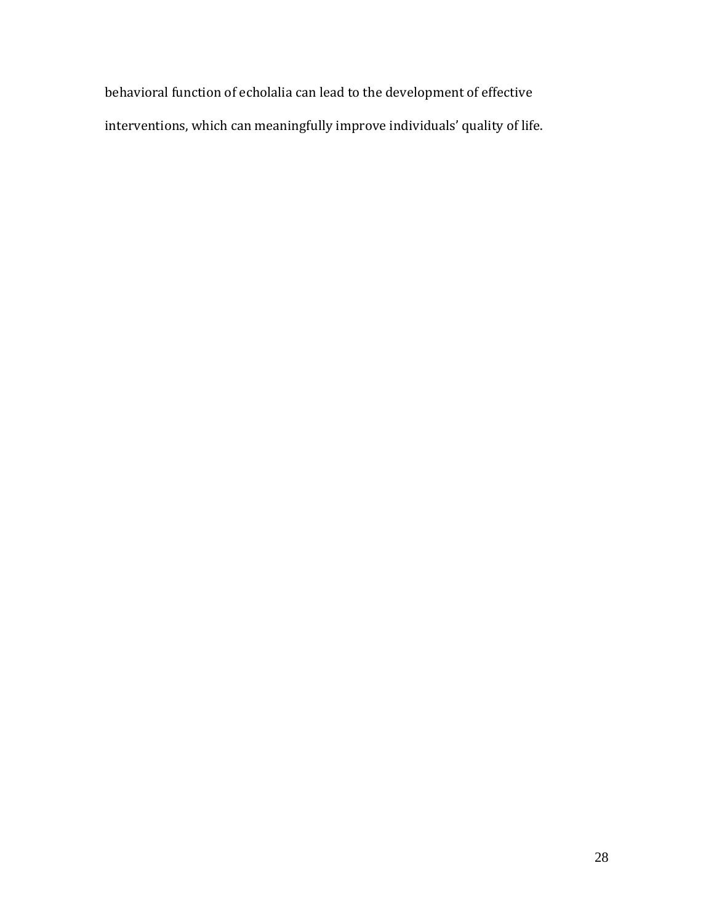behavioral function of echolalia can lead to the development of effective interventions, which can meaningfully improve individuals' quality of life.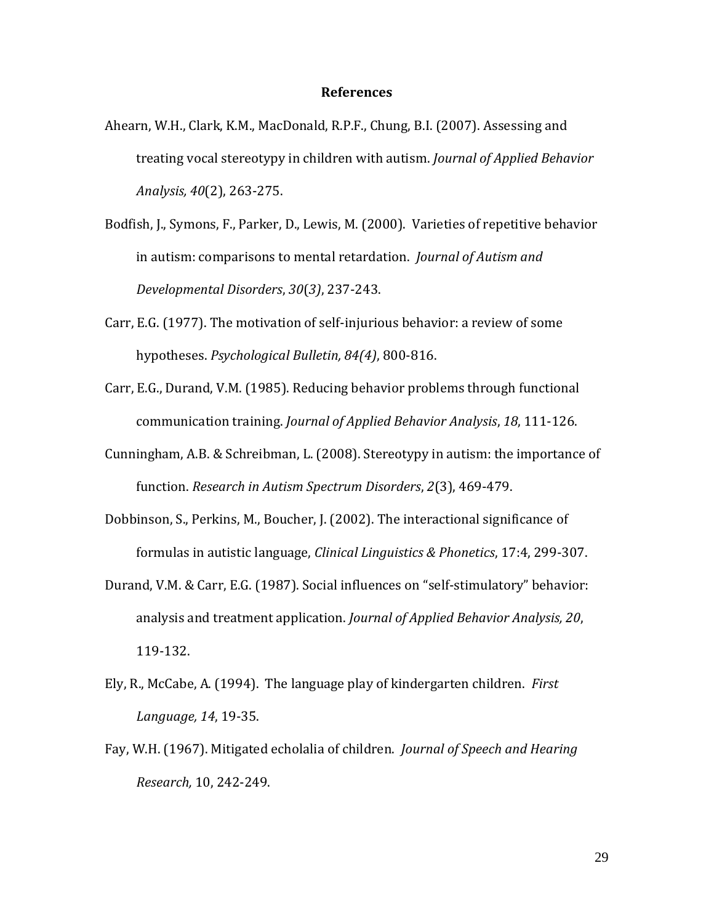### **References**

- Ahearn, W.H., Clark, K.M., MacDonald, R.P.F., Chung, B.I. (2007). Assessing and treating vocal stereotypy in children with autism. *Journal of Applied Behavior Analysis, 40*(2), 263-275.
- Bodfish, J., Symons, F., Parker, D., Lewis, M. (2000). Varieties of repetitive behavior in autism: comparisons to mental retardation. *Journal of Autism and Developmental Disorders*, *30*(*3)*, 237-243.
- Carr, E.G. (1977). The motivation of self-injurious behavior: a review of some hypotheses. *Psychological Bulletin, 84(4)*, 800-816.
- Carr, E.G., Durand, V.M. (1985). Reducing behavior problems through functional communication training. *Journal of Applied Behavior Analysis*, *18*, 111-126.
- Cunningham, A.B. & Schreibman, L. (2008). Stereotypy in autism: the importance of function. *Research in Autism Spectrum Disorders*, *2*(3), 469-479.
- Dobbinson, S., Perkins, M., Boucher, J. (2002). The interactional significance of formulas in autistic language, *Clinical Linguistics & Phonetics*, 17:4, 299-307.
- Durand, V.M. & Carr, E.G. (1987). Social influences on "self-stimulatory" behavior: analysis and treatment application. *Journal of Applied Behavior Analysis, 20*, 119-132.
- Ely, R., McCabe, A. (1994). The language play of kindergarten children. *First Language, 14*, 19-35.
- Fay, W.H. (1967). Mitigated echolalia of children. *Journal of Speech and Hearing Research,* 10, 242-249.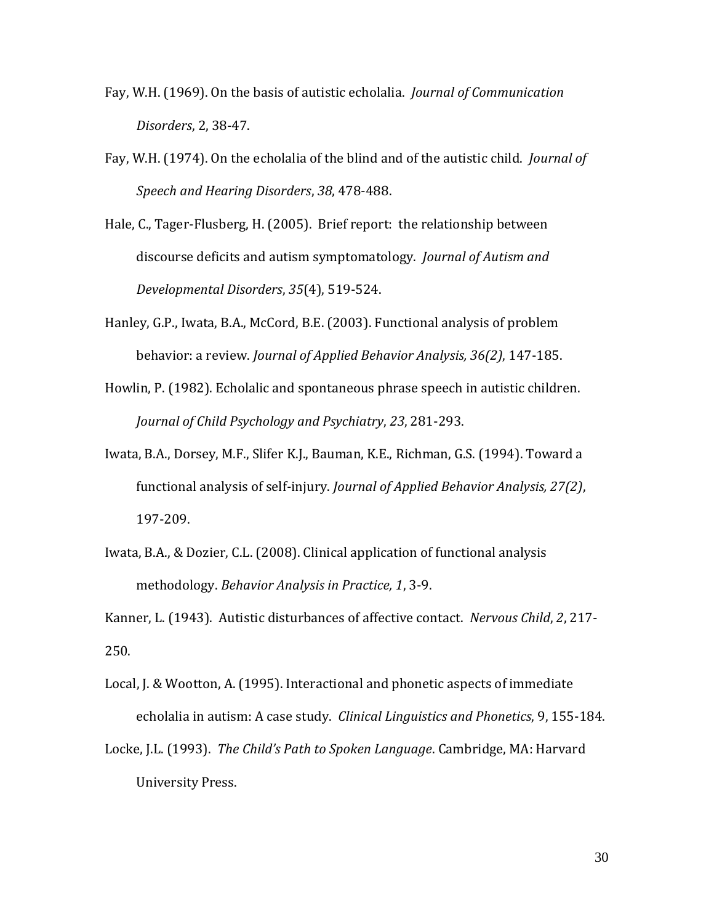- Fay, W.H. (1969). On the basis of autistic echolalia. *Journal of Communication Disorders*, 2, 38-47.
- Fay, W.H. (1974). On the echolalia of the blind and of the autistic child. *Journal of Speech and Hearing Disorders*, *38*, 478-488.
- Hale, C., Tager-Flusberg, H. (2005). Brief report: the relationship between discourse deficits and autism symptomatology. *Journal of Autism and Developmental Disorders*, *35*(4), 519-524.
- Hanley, G.P., Iwata, B.A., McCord, B.E. (2003). Functional analysis of problem behavior: a review. *Journal of Applied Behavior Analysis, 36(2)*, 147-185.
- Howlin, P. (1982). Echolalic and spontaneous phrase speech in autistic children. *Journal of Child Psychology and Psychiatry*, *23*, 281-293.
- Iwata, B.A., Dorsey, M.F., Slifer K.J., Bauman, K.E., Richman, G.S. (1994). Toward a functional analysis of self-injury. *Journal of Applied Behavior Analysis, 27(2)*, 197-209.
- Iwata, B.A., & Dozier, C.L. (2008). Clinical application of functional analysis methodology. *Behavior Analysis in Practice, 1*, 3-9.

Kanner, L. (1943). Autistic disturbances of affective contact. *Nervous Child*, *2*, 217- 250.

- Local, J. & Wootton, A. (1995). Interactional and phonetic aspects of immediate echolalia in autism: A case study. *Clinical Linguistics and Phonetics*, 9, 155-184.
- Locke, J.L. (1993). *The Child's Path to Spoken Language*. Cambridge, MA: Harvard University Press.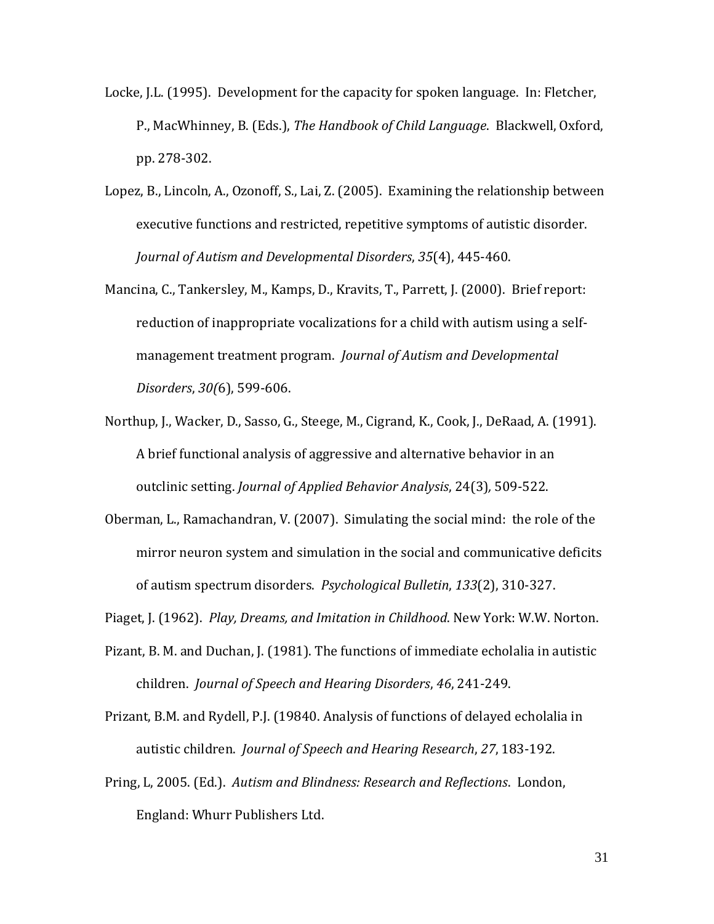- Locke, J.L. (1995). Development for the capacity for spoken language. In: Fletcher, P., MacWhinney, B. (Eds.), *The Handbook of Child Language*. Blackwell, Oxford, pp. 278-302.
- Lopez, B., Lincoln, A., Ozonoff, S., Lai, Z. (2005). Examining the relationship between executive functions and restricted, repetitive symptoms of autistic disorder. *Journal of Autism and Developmental Disorders*, *35*(4), 445-460.
- Mancina, C., Tankersley, M., Kamps, D., Kravits, T., Parrett, J. (2000). Brief report: reduction of inappropriate vocalizations for a child with autism using a selfmanagement treatment program. *Journal of Autism and Developmental Disorders*, *30(*6), 599-606.
- Northup, J., Wacker, D., Sasso, G., Steege, M., Cigrand, K., Cook, J., DeRaad, A. (1991). A brief functional analysis of aggressive and alternative behavior in an outclinic setting. *Journal of Applied Behavior Analysis*, 24(3)*,* 509-522.
- Oberman, L., Ramachandran, V. (2007). Simulating the social mind: the role of the mirror neuron system and simulation in the social and communicative deficits of autism spectrum disorders. *Psychological Bulletin*, *133*(2), 310-327.
- Piaget, J. (1962). *Play, Dreams, and Imitation in Childhood*. New York: W.W. Norton.
- Pizant, B. M. and Duchan, J. (1981). The functions of immediate echolalia in autistic children. *Journal of Speech and Hearing Disorders*, *46*, 241-249.
- Prizant, B.M. and Rydell, P.J. (19840. Analysis of functions of delayed echolalia in autistic children. *Journal of Speech and Hearing Research*, *27*, 183-192.
- Pring, L, 2005. (Ed.). *Autism and Blindness: Research and Reflections*. London, England: Whurr Publishers Ltd.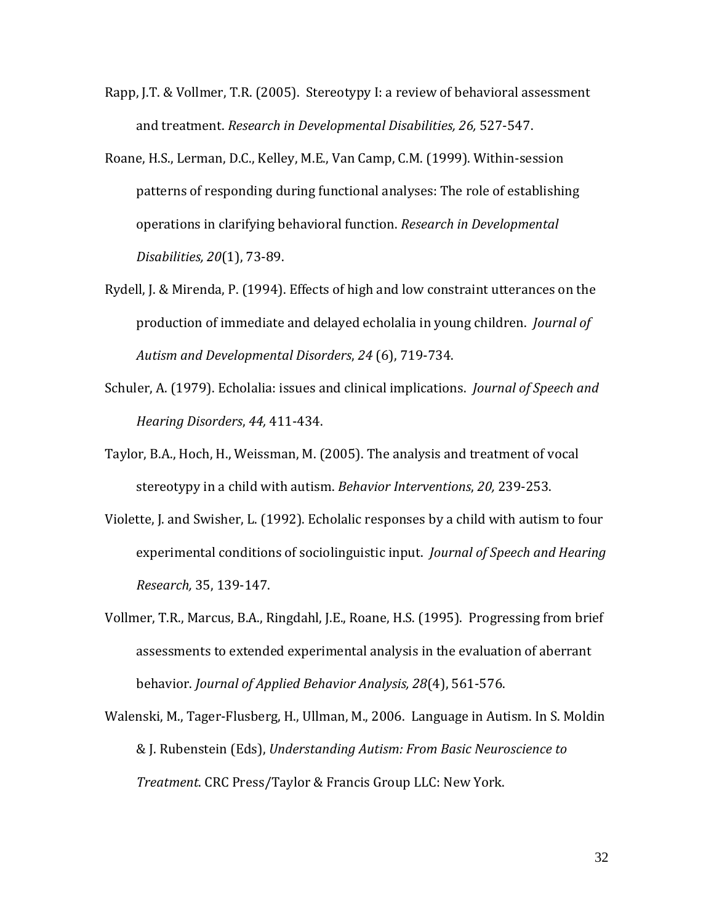- Rapp, J.T. & Vollmer, T.R. (2005). Stereotypy I: a review of behavioral assessment and treatment. *Research in Developmental Disabilities, 26,* 527-547.
- Roane, H.S., Lerman, D.C., Kelley, M.E., Van Camp, C.M. (1999). Within-session patterns of responding during functional analyses: The role of establishing operations in clarifying behavioral function. *Research in Developmental Disabilities, 20*(1), 73-89.
- Rydell, J. & Mirenda, P. (1994). Effects of high and low constraint utterances on the production of immediate and delayed echolalia in young children. *Journal of Autism and Developmental Disorders*, *24* (6), 719-734.
- Schuler, A. (1979). Echolalia: issues and clinical implications. *Journal of Speech and Hearing Disorders*, *44,* 411-434.
- Taylor, B.A., Hoch, H., Weissman, M. (2005). The analysis and treatment of vocal stereotypy in a child with autism. *Behavior Interventions*, *20,* 239-253.
- Violette, J. and Swisher, L. (1992). Echolalic responses by a child with autism to four experimental conditions of sociolinguistic input. *Journal of Speech and Hearing Research,* 35, 139-147.
- Vollmer, T.R., Marcus, B.A., Ringdahl, J.E., Roane, H.S. (1995). Progressing from brief assessments to extended experimental analysis in the evaluation of aberrant behavior. *Journal of Applied Behavior Analysis, 28*(4), 561-576.
- Walenski, M., Tager-Flusberg, H., Ullman, M., 2006. Language in Autism. In S. Moldin & J. Rubenstein (Eds), *Understanding Autism: From Basic Neuroscience to Treatment*. CRC Press/Taylor & Francis Group LLC: New York.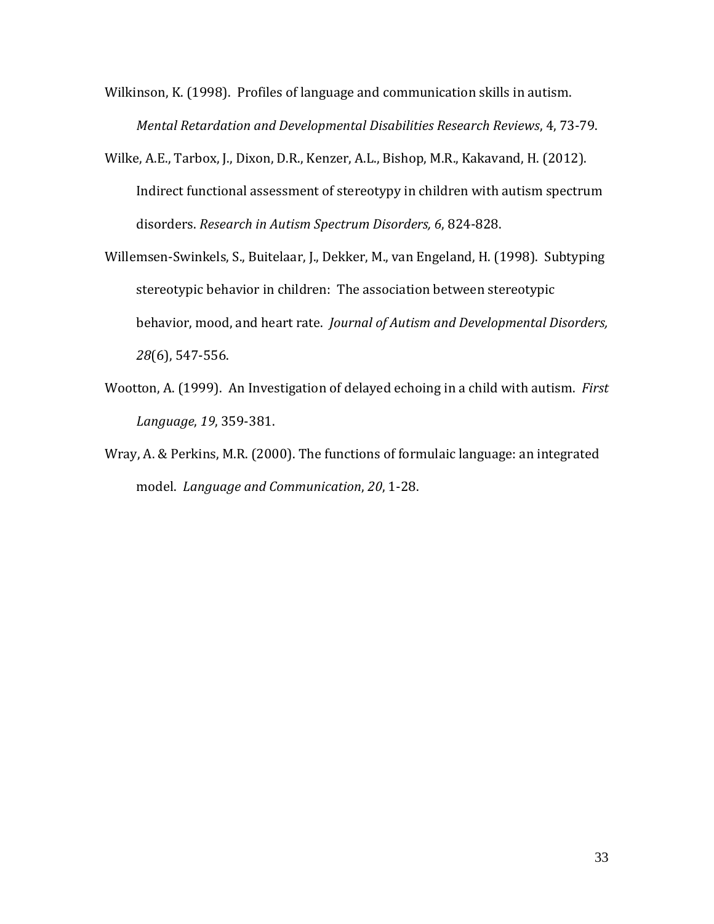Wilkinson, K. (1998). Profiles of language and communication skills in autism. *Mental Retardation and Developmental Disabilities Research Reviews*, 4, 73-79.

- Wilke, A.E., Tarbox, J., Dixon, D.R., Kenzer, A.L., Bishop, M.R., Kakavand, H. (2012). Indirect functional assessment of stereotypy in children with autism spectrum disorders. *Research in Autism Spectrum Disorders, 6*, 824-828.
- Willemsen-Swinkels, S., Buitelaar, J., Dekker, M., van Engeland, H. (1998). Subtyping stereotypic behavior in children: The association between stereotypic behavior, mood, and heart rate. *Journal of Autism and Developmental Disorders, 28*(6), 547-556.
- Wootton, A. (1999). An Investigation of delayed echoing in a child with autism. *First Language*, *19*, 359-381.
- Wray, A. & Perkins, M.R. (2000). The functions of formulaic language: an integrated model. *Language and Communication*, *20*, 1-28.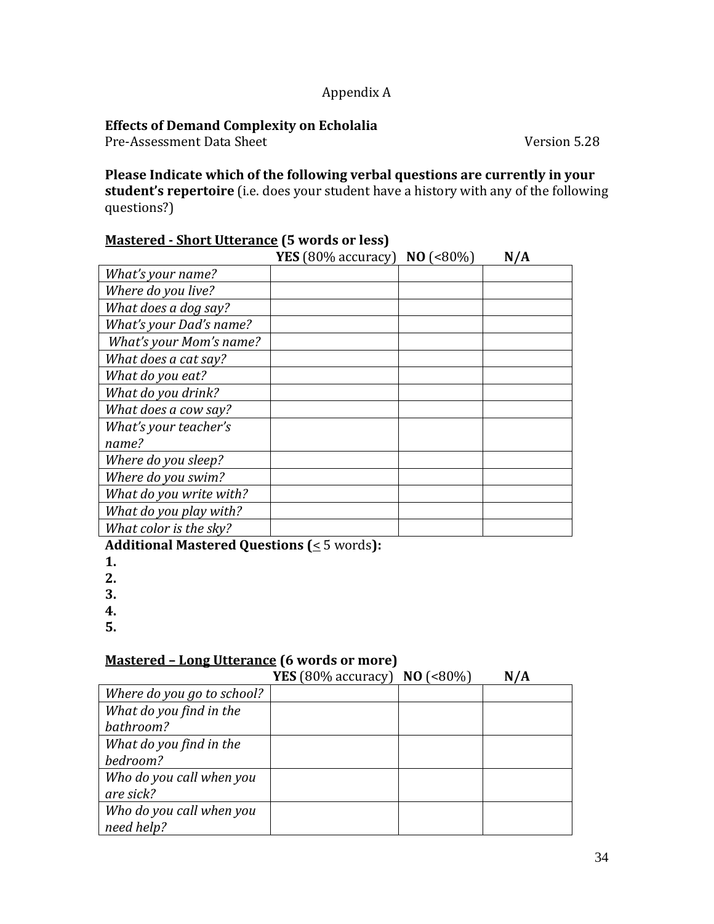## Appendix A

## **Effects of Demand Complexity on Echolalia**

Pre-Assessment Data Sheet Version 5.28

**Please Indicate which of the following verbal questions are currently in your student's repertoire** (i.e. does your student have a history with any of the following questions?)

# **Mastered - Short Utterance (5 words or less)**

|                         | <b>YES</b> (80% accuracy) <b>NO</b> (<80%) | N/A |
|-------------------------|--------------------------------------------|-----|
| What's your name?       |                                            |     |
| Where do you live?      |                                            |     |
| What does a dog say?    |                                            |     |
| What's your Dad's name? |                                            |     |
| What's your Mom's name? |                                            |     |
| What does a cat say?    |                                            |     |
| What do you eat?        |                                            |     |
| What do you drink?      |                                            |     |
| What does a cow say?    |                                            |     |
| What's your teacher's   |                                            |     |
| name?                   |                                            |     |
| Where do you sleep?     |                                            |     |
| Where do you swim?      |                                            |     |
| What do you write with? |                                            |     |
| What do you play with?  |                                            |     |
| What color is the sky?  |                                            |     |

**Additional Mastered Questions (**< 5 words**):**

**1.**

**2.**

**3.**

**4.**

**5.**

## **Mastered – Long Utterance (6 words or more)**

|                            | <b>YES</b> (80% accuracy) <b>NO</b> (<80%) | N/A |
|----------------------------|--------------------------------------------|-----|
| Where do you go to school? |                                            |     |
| What do you find in the    |                                            |     |
| bathroom?                  |                                            |     |
| What do you find in the    |                                            |     |
| bedroom?                   |                                            |     |
| Who do you call when you   |                                            |     |
| are sick?                  |                                            |     |
| Who do you call when you   |                                            |     |
| need help?                 |                                            |     |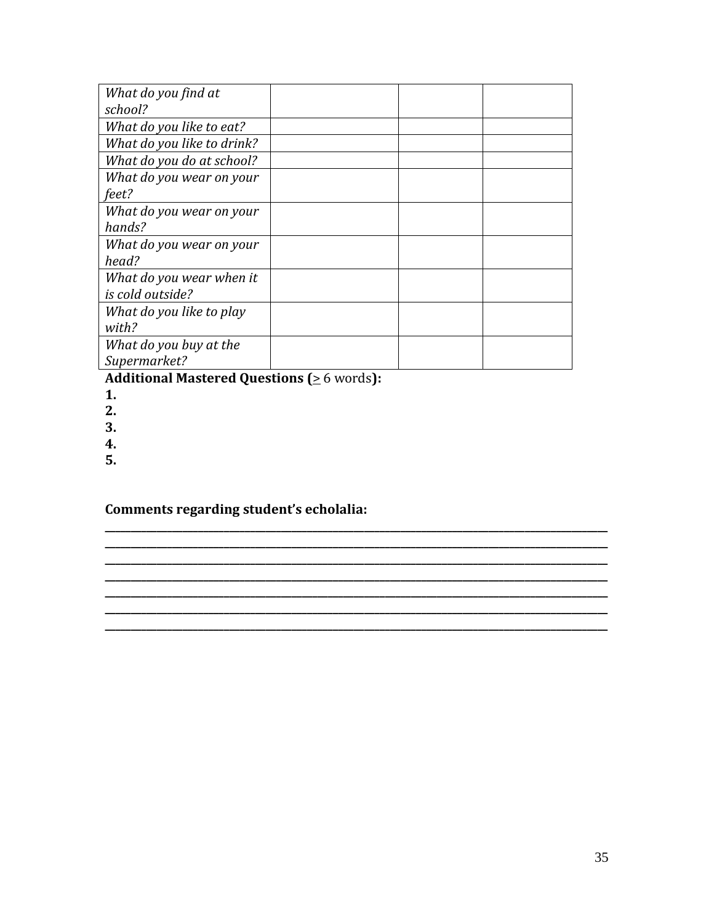| What do you find at        |  |  |
|----------------------------|--|--|
| school?                    |  |  |
| What do you like to eat?   |  |  |
| What do you like to drink? |  |  |
| What do you do at school?  |  |  |
| What do you wear on your   |  |  |
| feet?                      |  |  |
| What do you wear on your   |  |  |
| hands?                     |  |  |
| What do you wear on your   |  |  |
| head?                      |  |  |
| What do you wear when it   |  |  |
| is cold outside?           |  |  |
| What do you like to play   |  |  |
| with?                      |  |  |
| What do you buy at the     |  |  |
| Supermarket?               |  |  |

**\_\_\_\_\_\_\_\_\_\_\_\_\_\_\_\_\_\_\_\_\_\_\_\_\_\_\_\_\_\_\_\_\_\_\_\_\_\_\_\_\_\_\_\_\_\_\_\_\_\_\_\_\_\_\_\_\_\_\_\_\_\_\_\_\_\_\_\_\_\_\_\_\_\_\_\_\_\_\_\_\_\_\_\_\_\_\_\_\_\_\_\_\_\_\_\_\_ \_\_\_\_\_\_\_\_\_\_\_\_\_\_\_\_\_\_\_\_\_\_\_\_\_\_\_\_\_\_\_\_\_\_\_\_\_\_\_\_\_\_\_\_\_\_\_\_\_\_\_\_\_\_\_\_\_\_\_\_\_\_\_\_\_\_\_\_\_\_\_\_\_\_\_\_\_\_\_\_\_\_\_\_\_\_\_\_\_\_\_\_\_\_\_\_\_ \_\_\_\_\_\_\_\_\_\_\_\_\_\_\_\_\_\_\_\_\_\_\_\_\_\_\_\_\_\_\_\_\_\_\_\_\_\_\_\_\_\_\_\_\_\_\_\_\_\_\_\_\_\_\_\_\_\_\_\_\_\_\_\_\_\_\_\_\_\_\_\_\_\_\_\_\_\_\_\_\_\_\_\_\_\_\_\_\_\_\_\_\_\_\_\_\_ \_\_\_\_\_\_\_\_\_\_\_\_\_\_\_\_\_\_\_\_\_\_\_\_\_\_\_\_\_\_\_\_\_\_\_\_\_\_\_\_\_\_\_\_\_\_\_\_\_\_\_\_\_\_\_\_\_\_\_\_\_\_\_\_\_\_\_\_\_\_\_\_\_\_\_\_\_\_\_\_\_\_\_\_\_\_\_\_\_\_\_\_\_\_\_\_\_ \_\_\_\_\_\_\_\_\_\_\_\_\_\_\_\_\_\_\_\_\_\_\_\_\_\_\_\_\_\_\_\_\_\_\_\_\_\_\_\_\_\_\_\_\_\_\_\_\_\_\_\_\_\_\_\_\_\_\_\_\_\_\_\_\_\_\_\_\_\_\_\_\_\_\_\_\_\_\_\_\_\_\_\_\_\_\_\_\_\_\_\_\_\_\_\_\_ \_\_\_\_\_\_\_\_\_\_\_\_\_\_\_\_\_\_\_\_\_\_\_\_\_\_\_\_\_\_\_\_\_\_\_\_\_\_\_\_\_\_\_\_\_\_\_\_\_\_\_\_\_\_\_\_\_\_\_\_\_\_\_\_\_\_\_\_\_\_\_\_\_\_\_\_\_\_\_\_\_\_\_\_\_\_\_\_\_\_\_\_\_\_\_\_\_ \_\_\_\_\_\_\_\_\_\_\_\_\_\_\_\_\_\_\_\_\_\_\_\_\_\_\_\_\_\_\_\_\_\_\_\_\_\_\_\_\_\_\_\_\_\_\_\_\_\_\_\_\_\_\_\_\_\_\_\_\_\_\_\_\_\_\_\_\_\_\_\_\_\_\_\_\_\_\_\_\_\_\_\_\_\_\_\_\_\_\_\_\_\_\_\_\_**

Additional Mastered Questions ( $\geq 6$  words):

- **1.**
- **2.**
- **3.**
- **4.**
- **5.**

**Comments regarding student's echolalia:**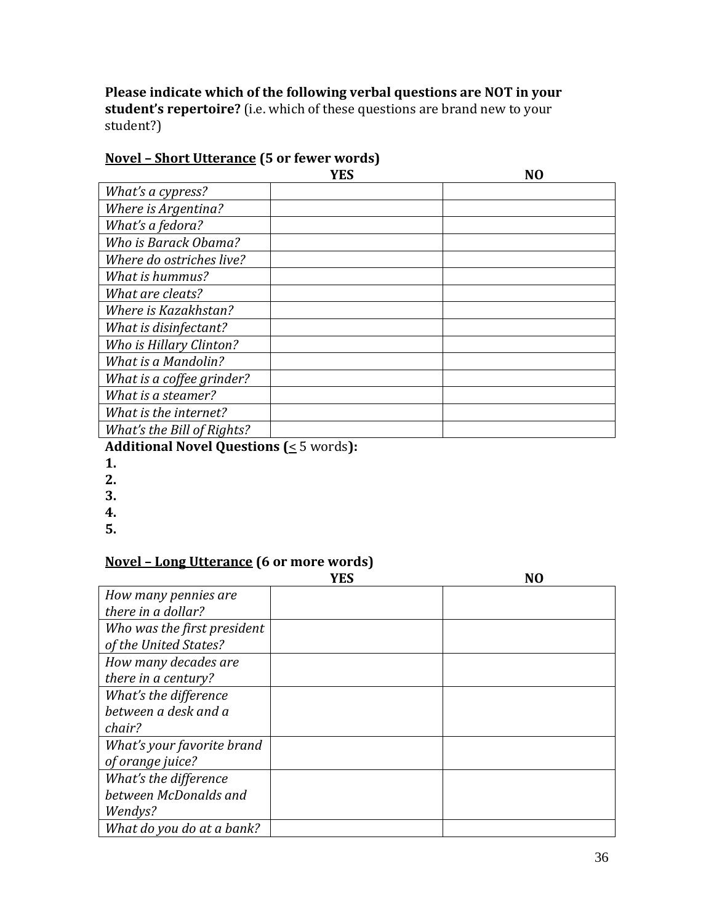**Please indicate which of the following verbal questions are NOT in your student's repertoire?** (i.e. which of these questions are brand new to your student?)

# **Novel – Short Utterance (5 or fewer words)**

|                            | YES | NΩ |
|----------------------------|-----|----|
| What's a cypress?          |     |    |
| Where is Argentina?        |     |    |
| What's a fedora?           |     |    |
| Who is Barack Obama?       |     |    |
| Where do ostriches live?   |     |    |
| What is hummus?            |     |    |
| What are cleats?           |     |    |
| Where is Kazakhstan?       |     |    |
| What is disinfectant?      |     |    |
| Who is Hillary Clinton?    |     |    |
| <b>What is a Mandolin?</b> |     |    |
| What is a coffee grinder?  |     |    |
| What is a steamer?         |     |    |
| What is the internet?      |     |    |
| What's the Bill of Rights? |     |    |

# **Additional Novel Questions (**< 5 words**):**

- **1.**
- **2.**
- **3.**
- **4.**
- **5.**

## **Novel – Long Utterance (6 or more words)**

|                             | <b>YES</b> | NΩ |
|-----------------------------|------------|----|
| How many pennies are        |            |    |
| there in a dollar?          |            |    |
| Who was the first president |            |    |
| of the United States?       |            |    |
| How many decades are        |            |    |
| there in a century?         |            |    |
| What's the difference       |            |    |
| between a desk and a        |            |    |
| chair?                      |            |    |
| What's your favorite brand  |            |    |
| of orange juice?            |            |    |
| What's the difference       |            |    |
| between McDonalds and       |            |    |
| Wendys?                     |            |    |
| What do you do at a bank?   |            |    |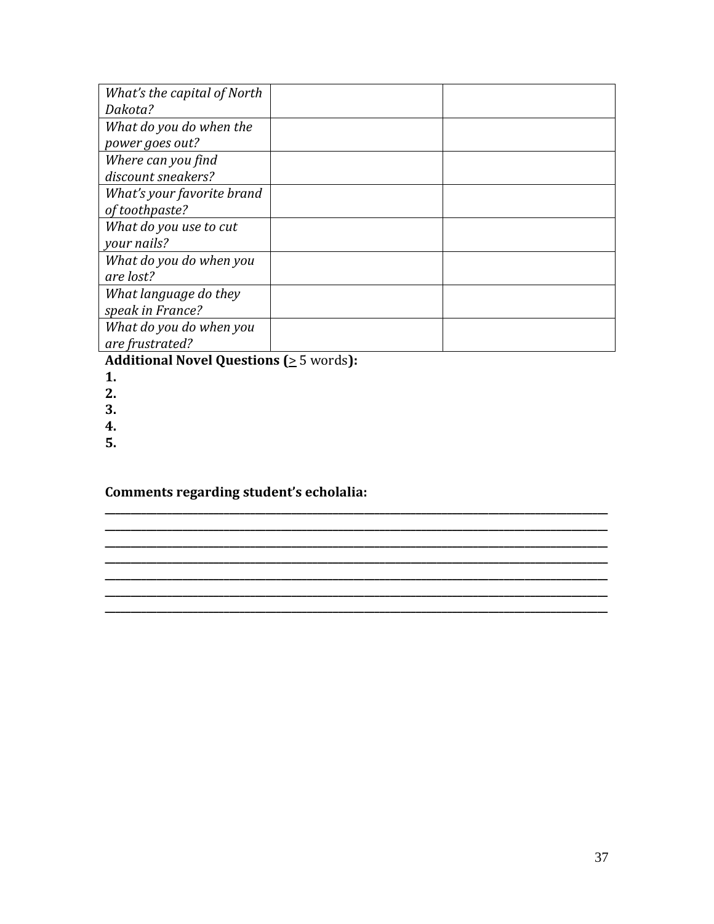| What's the capital of North |  |
|-----------------------------|--|
| Dakota?                     |  |
| What do you do when the     |  |
| power goes out?             |  |
| Where can you find          |  |
| discount sneakers?          |  |
| What's your favorite brand  |  |
| of toothpaste?              |  |
| What do you use to cut      |  |
| your nails?                 |  |
| What do you do when you     |  |
| are lost?                   |  |
| What language do they       |  |
| speak in France?            |  |
| What do you do when you     |  |
| are frustrated?             |  |

**\_\_\_\_\_\_\_\_\_\_\_\_\_\_\_\_\_\_\_\_\_\_\_\_\_\_\_\_\_\_\_\_\_\_\_\_\_\_\_\_\_\_\_\_\_\_\_\_\_\_\_\_\_\_\_\_\_\_\_\_\_\_\_\_\_\_\_\_\_\_\_\_\_\_\_\_\_\_\_\_\_\_\_\_\_\_\_\_\_\_\_\_\_\_\_\_\_ \_\_\_\_\_\_\_\_\_\_\_\_\_\_\_\_\_\_\_\_\_\_\_\_\_\_\_\_\_\_\_\_\_\_\_\_\_\_\_\_\_\_\_\_\_\_\_\_\_\_\_\_\_\_\_\_\_\_\_\_\_\_\_\_\_\_\_\_\_\_\_\_\_\_\_\_\_\_\_\_\_\_\_\_\_\_\_\_\_\_\_\_\_\_\_\_\_ \_\_\_\_\_\_\_\_\_\_\_\_\_\_\_\_\_\_\_\_\_\_\_\_\_\_\_\_\_\_\_\_\_\_\_\_\_\_\_\_\_\_\_\_\_\_\_\_\_\_\_\_\_\_\_\_\_\_\_\_\_\_\_\_\_\_\_\_\_\_\_\_\_\_\_\_\_\_\_\_\_\_\_\_\_\_\_\_\_\_\_\_\_\_\_\_\_ \_\_\_\_\_\_\_\_\_\_\_\_\_\_\_\_\_\_\_\_\_\_\_\_\_\_\_\_\_\_\_\_\_\_\_\_\_\_\_\_\_\_\_\_\_\_\_\_\_\_\_\_\_\_\_\_\_\_\_\_\_\_\_\_\_\_\_\_\_\_\_\_\_\_\_\_\_\_\_\_\_\_\_\_\_\_\_\_\_\_\_\_\_\_\_\_\_ \_\_\_\_\_\_\_\_\_\_\_\_\_\_\_\_\_\_\_\_\_\_\_\_\_\_\_\_\_\_\_\_\_\_\_\_\_\_\_\_\_\_\_\_\_\_\_\_\_\_\_\_\_\_\_\_\_\_\_\_\_\_\_\_\_\_\_\_\_\_\_\_\_\_\_\_\_\_\_\_\_\_\_\_\_\_\_\_\_\_\_\_\_\_\_\_\_**

**\_\_\_\_\_\_\_\_\_\_\_\_\_\_\_\_\_\_\_\_\_\_\_\_\_\_\_\_\_\_\_\_\_\_\_\_\_\_\_\_\_\_\_\_\_\_\_\_\_\_\_\_\_\_\_\_\_\_\_\_\_\_\_\_\_\_\_\_\_\_\_\_\_\_\_\_\_\_\_\_\_\_\_\_\_\_\_\_\_\_\_\_\_\_\_\_\_**

**Additional Novel Questions (**> 5 words**):**

- **1.**
- **2.**
- **3.**
- **4.**
- **5.**

**Comments regarding student's echolalia:**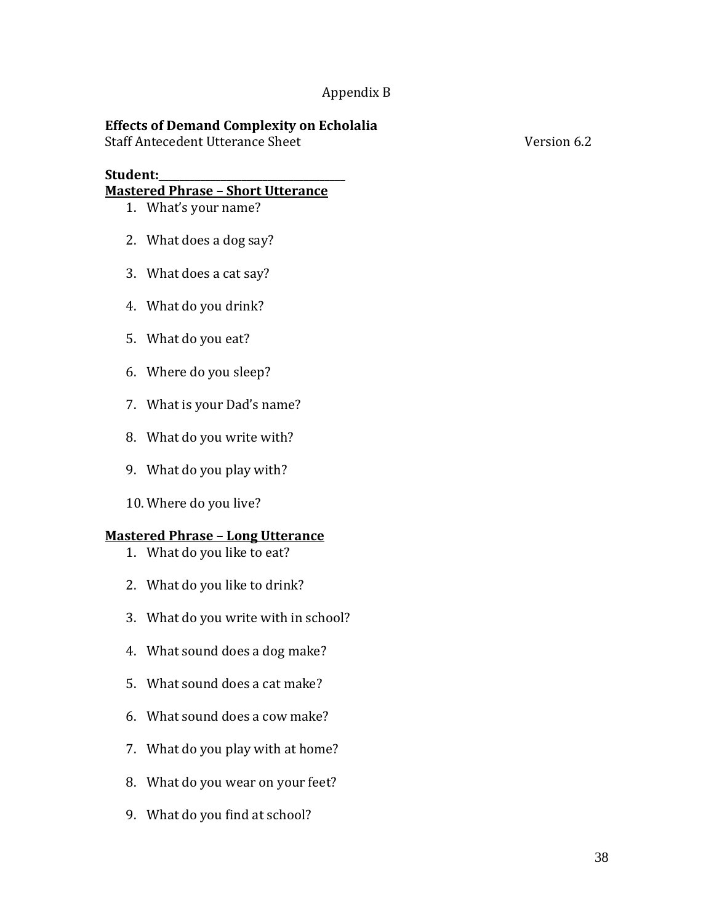## Appendix B

## **Effects of Demand Complexity on Echolalia**

Staff Antecedent Utterance Sheet Version 6.2

### **Student:\_\_\_\_\_\_\_\_\_\_\_\_\_\_\_\_\_\_\_\_\_\_\_\_\_\_\_\_\_\_\_\_\_\_\_\_**

### **Mastered Phrase – Short Utterance**

- 1. What's your name?
- 2. What does a dog say?
- 3. What does a cat say?
- 4. What do you drink?
- 5. What do you eat?
- 6. Where do you sleep?
- 7. What is your Dad's name?
- 8. What do you write with?
- 9. What do you play with?
- 10. Where do you live?

## **Mastered Phrase – Long Utterance**

- 1. What do you like to eat?
- 2. What do you like to drink?
- 3. What do you write with in school?
- 4. What sound does a dog make?
- 5. What sound does a cat make?
- 6. What sound does a cow make?
- 7. What do you play with at home?
- 8. What do you wear on your feet?
- 9. What do you find at school?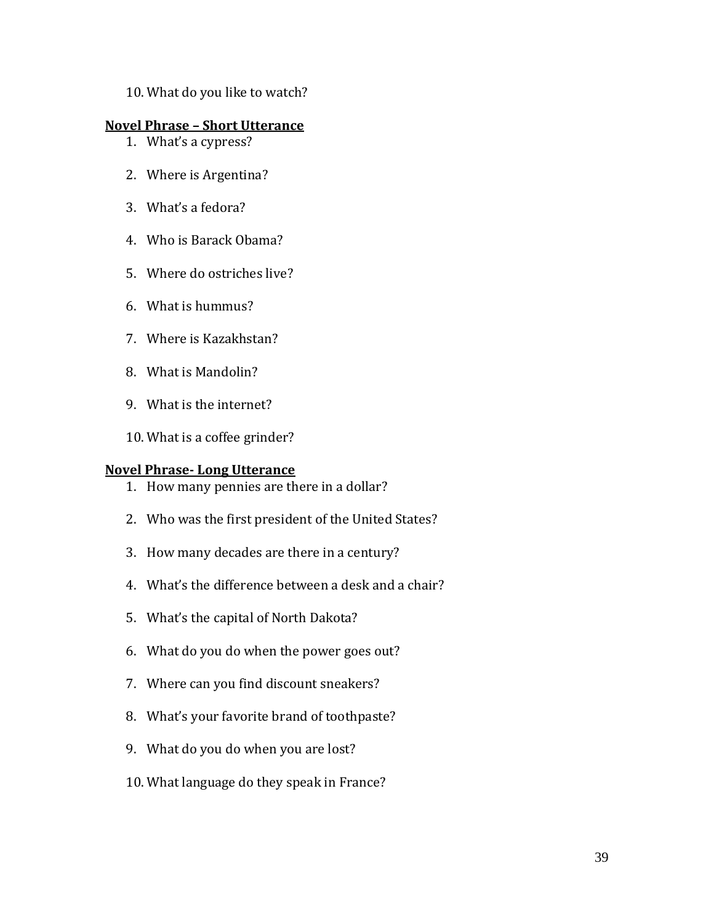10. What do you like to watch?

### **Novel Phrase – Short Utterance**

- 1. What's a cypress?
- 2. Where is Argentina?
- 3. What's a fedora?
- 4. Who is Barack Obama?
- 5. Where do ostriches live?
- 6. What is hummus?
- 7. Where is Kazakhstan?
- 8. What is Mandolin?
- 9. What is the internet?
- 10. What is a coffee grinder?

### **Novel Phrase- Long Utterance**

- 1. How many pennies are there in a dollar?
- 2. Who was the first president of the United States?
- 3. How many decades are there in a century?
- 4. What's the difference between a desk and a chair?
- 5. What's the capital of North Dakota?
- 6. What do you do when the power goes out?
- 7. Where can you find discount sneakers?
- 8. What's your favorite brand of toothpaste?
- 9. What do you do when you are lost?
- 10. What language do they speak in France?